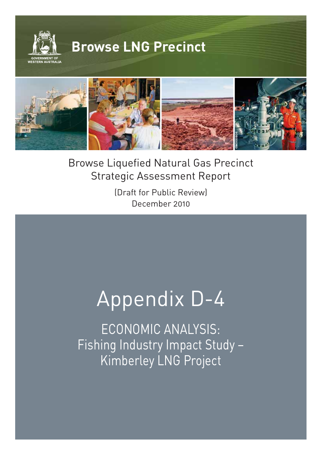



**©WOODSIDE**

(Draft for Public Review) December 2010

# Appendix D-4

ECONOMIC ANALYSIS: Fishing Industry Impact Study – Kimberley LNG Project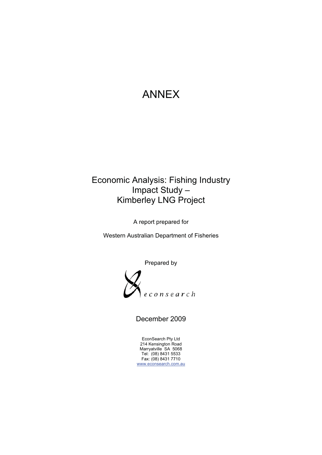# A ANNEX

# ANNEX<br>Economic Analysis: Fishing Industry Kimberley LNG Project<br>A report prepared for<br>Western Australian Department of Fisheries Imp pact Stud dy – Kimberley LNG Project

A report prepared for



December 2009

Ec conSearch Pty Ltd 214 Ma Te Fa www.econsearch.com.au 4 Kensington R arryatville SA 5 el: (08) 8431 55 ax: (08) 8431 77 Road 5068 533 710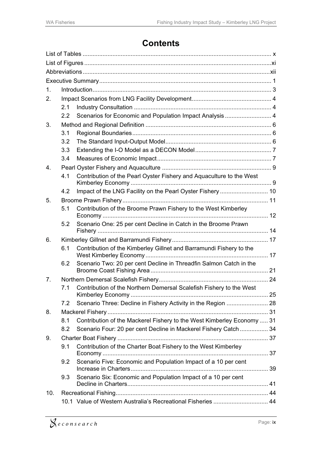# **Contents**

| 1.             |                  |                                                                        |  |
|----------------|------------------|------------------------------------------------------------------------|--|
| 2.             |                  |                                                                        |  |
|                | 2.1              |                                                                        |  |
|                | $2.2\phantom{0}$ | Scenarios for Economic and Population Impact Analysis  4               |  |
| 3.             |                  |                                                                        |  |
|                | 3.1              |                                                                        |  |
|                | 3.2              |                                                                        |  |
|                | 3.3              |                                                                        |  |
|                | 3.4              |                                                                        |  |
| 4.             |                  |                                                                        |  |
|                | 4.1              | Contribution of the Pearl Oyster Fishery and Aquaculture to the West   |  |
|                | 4.2              |                                                                        |  |
| 5 <sub>1</sub> |                  |                                                                        |  |
|                | 5.1              | Contribution of the Broome Prawn Fishery to the West Kimberley         |  |
|                | 5.2              | Scenario One: 25 per cent Decline in Catch in the Broome Prawn         |  |
| 6.             |                  |                                                                        |  |
|                | 6.1              | Contribution of the Kimberley Gillnet and Barramundi Fishery to the    |  |
|                | 6.2              | Scenario Two: 20 per cent Decline in Threadfin Salmon Catch in the     |  |
| 7.             |                  |                                                                        |  |
|                | 7.1              | Contribution of the Northern Demersal Scalefish Fishery to the West    |  |
|                | 7.2              | Scenario Three: Decline in Fishery Activity in the Region  28          |  |
| 8.             |                  |                                                                        |  |
|                | 8.1              | Contribution of the Mackerel Fishery to the West Kimberley Economy  31 |  |
|                | 8.2              | Scenario Four: 20 per cent Decline in Mackerel Fishery Catch 34        |  |
| 9.             |                  |                                                                        |  |
|                | 9.1              | Contribution of the Charter Boat Fishery to the West Kimberley         |  |
|                | 9.2              | Scenario Five: Economic and Population Impact of a 10 per cent         |  |
|                | 9.3              | Scenario Six: Economic and Population Impact of a 10 per cent          |  |
|                |                  |                                                                        |  |
| 10.            |                  |                                                                        |  |
|                |                  | 10.1 Value of Western Australia's Recreational Fisheries  44           |  |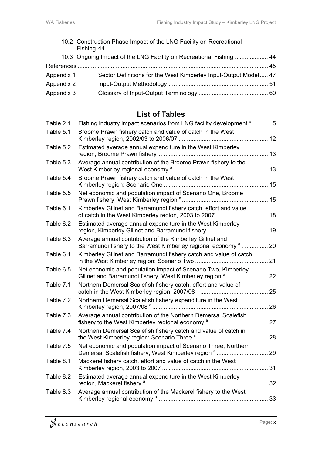|            | 10.2 Construction Phase Impact of the LNG Facility on Recreational<br>Fishing 44 |  |
|------------|----------------------------------------------------------------------------------|--|
|            | 10.3 Ongoing Impact of the LNG Facility on Recreational Fishing  44              |  |
|            |                                                                                  |  |
| Appendix 1 | Sector Definitions for the West Kimberley Input-Output Model 47                  |  |
| Appendix 2 |                                                                                  |  |
| Appendix 3 |                                                                                  |  |
|            |                                                                                  |  |

# **List of Tables**

| Table 2.1 | Fishing industry impact scenarios from LNG facility development <sup>a</sup> 5                                                        |  |
|-----------|---------------------------------------------------------------------------------------------------------------------------------------|--|
| Table 5.1 | Broome Prawn fishery catch and value of catch in the West                                                                             |  |
| Table 5.2 | Estimated average annual expenditure in the West Kimberley                                                                            |  |
| Table 5.3 | Average annual contribution of the Broome Prawn fishery to the                                                                        |  |
| Table 5.4 | Broome Prawn fishery catch and value of catch in the West                                                                             |  |
| Table 5.5 | Net economic and population impact of Scenario One, Broome                                                                            |  |
| Table 6.1 | Kimberley Gillnet and Barramundi fishery catch, effort and value                                                                      |  |
| Table 6.2 | Estimated average annual expenditure in the West Kimberley                                                                            |  |
| Table 6.3 | Average annual contribution of the Kimberley Gillnet and<br>Barramundi fishery to the West Kimberley regional economy <sup>a</sup> 20 |  |
| Table 6.4 | Kimberley Gillnet and Barramundi fishery catch and value of catch                                                                     |  |
| Table 6.5 | Net economic and population impact of Scenario Two, Kimberley                                                                         |  |
| Table 7.1 | Northern Demersal Scalefish fishery catch, effort and value of                                                                        |  |
| Table 7.2 | Northern Demersal Scalefish fishery expenditure in the West                                                                           |  |
| Table 7.3 | Average annual contribution of the Northern Demersal Scalefish                                                                        |  |
| Table 7.4 | Northern Demersal Scalefish fishery catch and value of catch in                                                                       |  |
| Table 7.5 | Net economic and population impact of Scenario Three, Northern                                                                        |  |
| Table 8.1 | Mackerel fishery catch, effort and value of catch in the West                                                                         |  |
| Table 8.2 | Estimated average annual expenditure in the West Kimberley                                                                            |  |
| Table 8.3 | Average annual contribution of the Mackerel fishery to the West                                                                       |  |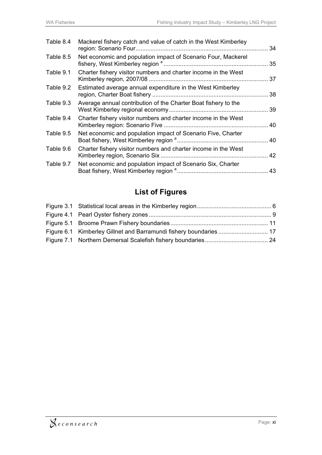| Table 8.4 | Mackerel fishery catch and value of catch in the West Kimberley |  |
|-----------|-----------------------------------------------------------------|--|
| Table 8.5 | Net economic and population impact of Scenario Four, Mackerel   |  |
| Table 9.1 | Charter fishery visitor numbers and charter income in the West  |  |
| Table 9.2 | Estimated average annual expenditure in the West Kimberley      |  |
| Table 9.3 | Average annual contribution of the Charter Boat fishery to the  |  |
| Table 9.4 | Charter fishery visitor numbers and charter income in the West  |  |
| Table 9.5 | Net economic and population impact of Scenario Five, Charter    |  |
| Table 9.6 | Charter fishery visitor numbers and charter income in the West  |  |
| Table 9.7 | Net economic and population impact of Scenario Six, Charter     |  |

# **List of Figures**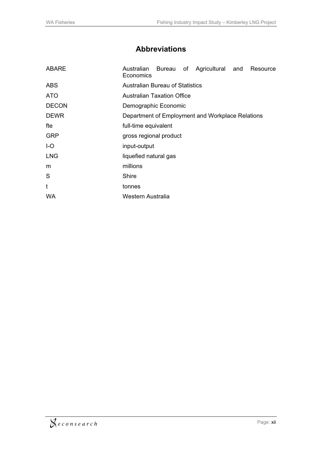# **Abbreviations**

| <b>ABARE</b> | Australian Bureau of Agricultural and<br>Resource<br>Economics |  |  |  |
|--------------|----------------------------------------------------------------|--|--|--|
| <b>ABS</b>   | <b>Australian Bureau of Statistics</b>                         |  |  |  |
| <b>ATO</b>   | <b>Australian Taxation Office</b>                              |  |  |  |
| <b>DECON</b> | Demographic Economic                                           |  |  |  |
| <b>DEWR</b>  | Department of Employment and Workplace Relations               |  |  |  |
| fte          | full-time equivalent                                           |  |  |  |
| <b>GRP</b>   | gross regional product                                         |  |  |  |
| $I-O$        | input-output                                                   |  |  |  |
| <b>LNG</b>   | liquefied natural gas                                          |  |  |  |
| m            | millions                                                       |  |  |  |
| S            | Shire                                                          |  |  |  |
| t            | tonnes                                                         |  |  |  |
| <b>WA</b>    | Western Australia                                              |  |  |  |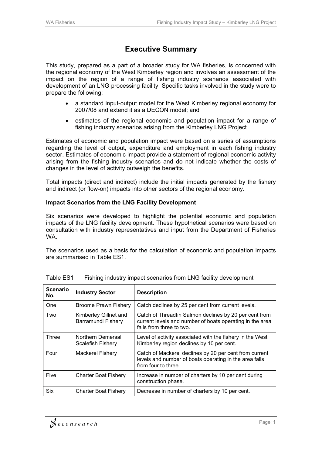# **Executive Summary**

This study, prepared as a part of a broader study for WA fisheries, is concerned with the regional economy of the West Kimberley region and involves an assessment of the impact on the region of a range of fishing industry scenarios associated with development of an LNG processing facility. Specific tasks involved in the study were to prepare the following:

- a standard input-output model for the West Kimberley regional economy for 2007/08 and extend it as a DECON model; and
- $\bullet$  estimates of the regional economic and population impact for a range of fishing industry scenarios arising from the Kimberley LNG Project

Estimates of economic and population impact were based on a series of assumptions regarding the level of output, expenditure and employment in each fishing industry sector. Estimates of economic impact provide a statement of regional economic activity arising from the fishing industry scenarios and do not indicate whether the costs of changes in the level of activity outweigh the benefits.

Total impacts (direct and indirect) include the initial impacts generated by the fishery and indirect (or flow-on) impacts into other sectors of the regional economy.

#### **Impact Scenarios from the LNG Facility Development**

Six scenarios were developed to highlight the potential economic and population impacts of the LNG facility development. These hypothetical scenarios were based on consultation with industry representatives and input from the Department of Fisheries WA.

The scenarios used as a basis for the calculation of economic and population impacts are summarised in Table ES1.

| <b>Scenario</b><br>No. | <b>Industry Sector</b>                      | <b>Description</b>                                                                                                                             |
|------------------------|---------------------------------------------|------------------------------------------------------------------------------------------------------------------------------------------------|
| One                    | <b>Broome Prawn Fishery</b>                 | Catch declines by 25 per cent from current levels.                                                                                             |
| Two                    | Kimberley Gillnet and<br>Barramundi Fishery | Catch of Threadfin Salmon declines by 20 per cent from<br>current levels and number of boats operating in the area<br>falls from three to two. |
| <b>Three</b>           | Northern Demersal<br>Scalefish Fishery      | Level of activity associated with the fishery in the West<br>Kimberley region declines by 10 per cent.                                         |
| Four                   | <b>Mackerel Fishery</b>                     | Catch of Mackerel declines by 20 per cent from current<br>levels and number of boats operating in the area falls<br>from four to three.        |
| Five                   | <b>Charter Boat Fishery</b>                 | Increase in number of charters by 10 per cent during<br>construction phase.                                                                    |
| Six                    | <b>Charter Boat Fishery</b>                 | Decrease in number of charters by 10 per cent.                                                                                                 |

| Table ES1 |  | Fishing industry impact scenarios from LNG facility development |
|-----------|--|-----------------------------------------------------------------|
|-----------|--|-----------------------------------------------------------------|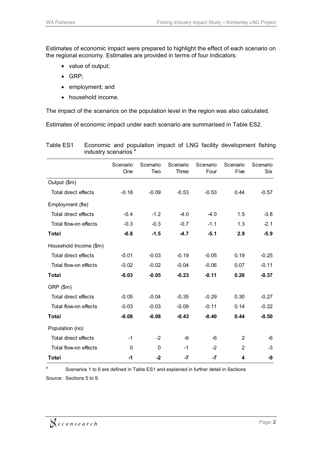Estimates of economic impact were prepared to highlight the effect of each scenario on the regional economy. Estimates are provided in terms of four indicators:

- value of output;
- GRP;
- employment; and
- household income.

The impact of the scenarios on the population level in the region was also calculated.

Estimates of economic impact under each scenario are summarised in Table ES2.

| industry scenarios "   |                 |                 |                   |                  |                  |                        |
|------------------------|-----------------|-----------------|-------------------|------------------|------------------|------------------------|
|                        | Scenario<br>One | Scenario<br>Two | Scenario<br>Three | Scenario<br>Four | Scenario<br>Five | Scenario<br><b>Six</b> |
| Output (\$m)           |                 |                 |                   |                  |                  |                        |
| Total direct effects   | $-0.18$         | $-0.09$         | $-0.53$           | $-0.53$          | 0.44             | $-0.57$                |
| Employment (fte)       |                 |                 |                   |                  |                  |                        |
| Total direct effects   | $-0.4$          | $-1.2$          | $-4.0$            | $-4.0$           | 1.5              | $-3.8$                 |
| Total flow-on effects  | $-0.3$          | $-0.3$          | $-0.7$            | $-1.1$           | 1.3              | $-2.1$                 |
| Total                  | $-0.8$          | $-1.5$          | $-4.7$            | $-5.1$           | 2.9              | $-5.9$                 |
| Household Income (\$m) |                 |                 |                   |                  |                  |                        |
| Total direct effects   | $-0.01$         | $-0.03$         | $-0.19$           | $-0.05$          | 0.19             | $-0.25$                |
| Total flow-on effects  | $-0.02$         | $-0.02$         | $-0.04$           | $-0.06$          | 0.07             | $-0.11$                |
| Total                  | $-0.03$         | $-0.05$         | $-0.23$           | $-0.11$          | 0.26             | $-0.37$                |

Total direct effects -0.05 -0.04 -0.35 -0.29 0.30 -0.27 Total flow-on effects  $-0.03$   $-0.03$   $-0.09$   $-0.11$   $0.14$   $-0.22$ 

**Total -0.08 -0.08 -0.43 -0.40 0.44 -0.50**

Total direct effects  $-1$   $-2$   $-6$   $-6$   $2$   $-6$ Total flow-on effects 0 0 0 -1 -2 2 -3

**Total -1 -2 -7 -7 4 -9**

Table ES1 Economic and population impact of LNG facility development fishing industry scenarios<sup>a</sup>

<sup>a</sup> Scenarios 1 to 6 are defined in Table ES1 and explained in further detail in Sections Source: Sections 5 to 9.

GRP (\$m)

Population (no)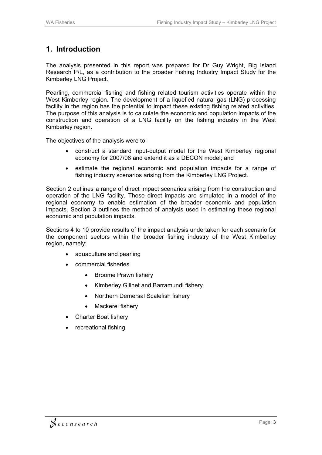## **1. Introduction**

The analysis presented in this report was prepared for Dr Guy Wright, Big Island Research P/L, as a contribution to the broader Fishing Industry Impact Study for the Kimberley LNG Project.

Pearling, commercial fishing and fishing related tourism activities operate within the West Kimberley region. The development of a liquefied natural gas (LNG) processing facility in the region has the potential to impact these existing fishing related activities. The purpose of this analysis is to calculate the economic and population impacts of the construction and operation of a LNG facility on the fishing industry in the West Kimberley region.

The objectives of the analysis were to:

- construct a standard input-output model for the West Kimberley regional economy for 2007/08 and extend it as a DECON model; and
- $\bullet$  estimate the regional economic and population impacts for a range of fishing industry scenarios arising from the Kimberley LNG Project.

Section 2 outlines a range of direct impact scenarios arising from the construction and operation of the LNG facility. These direct impacts are simulated in a model of the regional economy to enable estimation of the broader economic and population impacts. Section 3 outlines the method of analysis used in estimating these regional economic and population impacts.

Sections 4 to 10 provide results of the impact analysis undertaken for each scenario for the component sectors within the broader fishing industry of the West Kimberley region, namely:

- aquaculture and pearling
- commercial fisheries
	- Broome Prawn fishery
	- Kimberley Gillnet and Barramundi fishery
	- -Northern Demersal Scalefish fishery
	- -Mackerel fishery
- Charter Boat fishery
- recreational fishing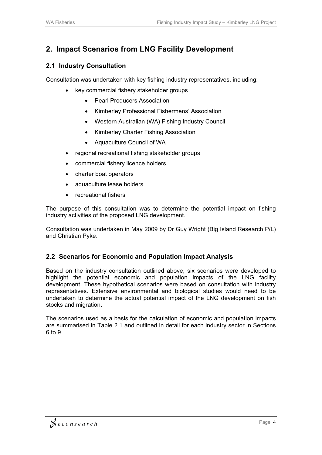# **2. Impact Scenarios from LNG Facility Development**

#### **2.1 Industry Consultation**

Consultation was undertaken with key fishing industry representatives, including:

- key commercial fishery stakeholder groups
	- $\bullet$ Pearl Producers Association
	- $\bullet$ Kimberley Professional Fishermens' Association
	- Western Australian (WA) Fishing Industry Council
	- $\bullet$ Kimberley Charter Fishing Association
	- Aquaculture Council of WA
- regional recreational fishing stakeholder groups
- commercial fishery licence holders
- charter boat operators
- $\bullet$ aquaculture lease holders
- $\bullet$ recreational fishers

The purpose of this consultation was to determine the potential impact on fishing industry activities of the proposed LNG development.

Consultation was undertaken in May 2009 by Dr Guy Wright (Big Island Research P/L) and Christian Pyke.

#### **2.2 Scenarios for Economic and Population Impact Analysis**

Based on the industry consultation outlined above, six scenarios were developed to highlight the potential economic and population impacts of the LNG facility development. These hypothetical scenarios were based on consultation with industry representatives. Extensive environmental and biological studies would need to be undertaken to determine the actual potential impact of the LNG development on fish stocks and migration.

The scenarios used as a basis for the calculation of economic and population impacts are summarised in Table 2.1 and outlined in detail for each industry sector in Sections 6 to 9.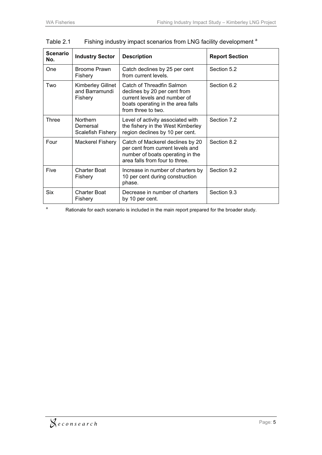| <b>Scenario</b><br>No. | <b>Industry Sector</b>                           | <b>Description</b>                                                                                                                                   | <b>Report Section</b> |
|------------------------|--------------------------------------------------|------------------------------------------------------------------------------------------------------------------------------------------------------|-----------------------|
| One                    | Broome Prawn<br>Fishery                          | Catch declines by 25 per cent<br>from current levels.                                                                                                | Section 5.2           |
| Two                    | Kimberley Gillnet<br>and Barramundi<br>Fishery   | Catch of Threadfin Salmon<br>declines by 20 per cent from<br>current levels and number of<br>boats operating in the area falls<br>from three to two. | Section 6.2           |
| Three                  | <b>Northern</b><br>Demersal<br>Scalefish Fishery | Level of activity associated with<br>the fishery in the West Kimberley<br>region declines by 10 per cent.                                            | Section 7.2           |
| Four                   | Mackerel Fishery                                 | Catch of Mackerel declines by 20<br>per cent from current levels and<br>number of boats operating in the<br>area falls from four to three.           | Section 8.2           |
| Five                   | <b>Charter Boat</b><br>Fishery                   | Increase in number of charters by<br>10 per cent during construction<br>phase.                                                                       | Section 9.2           |
| <b>Six</b>             | <b>Charter Boat</b><br>Fishery                   | Decrease in number of charters<br>by 10 per cent.                                                                                                    | Section 9.3           |

Table 2.1 Fishing industry impact scenarios from LNG facility development<sup>a</sup>

a Rationale for each scenario is included in the main report prepared for the broader study.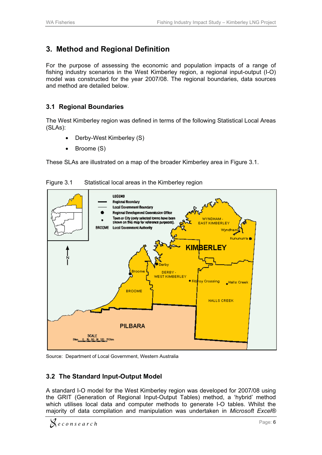# **3. Method and Regional Definition**

For the purpose of assessing the economic and population impacts of a range of fishing industry scenarios in the West Kimberley region, a regional input-output (I-O) model was constructed for the year 2007/08. The regional boundaries, data sources and method are detailed below.

#### **3.1 Regional Boundaries**

The West Kimberley region was defined in terms of the following Statistical Local Areas (SLAs):

- $\bullet$ Derby-West Kimberley (S)
- $\bullet$ Broome (S)

These SLAs are illustrated on a map of the broader Kimberley area in Figure 3.1.



Figure 3.1 Statistical local areas in the Kimberley region

Source: Department of Local Government, Western Australia

#### **3.2 The Standard Input-Output Model**

A standard I-O model for the West Kimberley region was developed for 2007/08 using the GRIT (Generation of Regional Input-Output Tables) method, a 'hybrid' method which utilises local data and computer methods to generate I-O tables. Whilst the majority of data compilation and manipulation was undertaken in *Microsoft Excel®*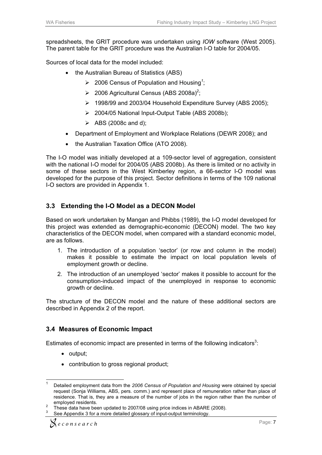spreadsheets, the GRIT procedure was undertaken using *IOW* software (West 2005). The parent table for the GRIT procedure was the Australian I-O table for 2004/05.

Sources of local data for the model included:

- the Australian Bureau of Statistics (ABS)
	- 2006 Census of Population and Housing*<sup>1</sup>* ;
	- > 2006 Agricultural Census (ABS 2008a)<sup>2</sup>;
	- > 1998/99 and 2003/04 Household Expenditure Survey (ABS 2005);
	- > 2004/05 National Input-Output Table (ABS 2008b);
	- $\triangleright$  ABS (2008c and d);
- Department of Employment and Workplace Relations (DEWR 2008); and
- the Australian Taxation Office (ATO 2008).

The I-O model was initially developed at a 109-sector level of aggregation, consistent with the national I-O model for 2004/05 (ABS 2008b). As there is limited or no activity in some of these sectors in the West Kimberley region, a 66-sector I-O model was developed for the purpose of this project. Sector definitions in terms of the 109 national I-O sectors are provided in Appendix 1.

#### **3.3 Extending the I-O Model as a DECON Model**

Based on work undertaken by Mangan and Phibbs (1989), the I-O model developed for this project was extended as demographic-economic (DECON) model. The two key characteristics of the DECON model, when compared with a standard economic model, are as follows.

- 1. The introduction of a population 'sector' (or row and column in the model) makes it possible to estimate the impact on local population levels of employment growth or decline.
- 2. The introduction of an unemployed 'sector' makes it possible to account for the consumption-induced impact of the unemployed in response to economic growth or decline.

The structure of the DECON model and the nature of these additional sectors are described in Appendix 2 of the report.

#### **3.4 Measures of Economic Impact**

Estimates of economic impact are presented in terms of the following indicators<sup>3</sup>:

• output;

 $\overline{a}$ 

• contribution to gross regional product;

<sup>1</sup> Detailed employment data from the *2006 Census of Population and Housing* were obtained by special request (Sonja Williams, ABS, pers. comm.) and represent place of remuneration rather than place of residence. That is, they are a measure of the number of jobs in the region rather than the number of  $emploved$  residents.

These data have been updated to 2007/08 using price indices in ABARE (2008).

<sup>3</sup> See Appendix 3 for a more detailed glossary of input-output terminology.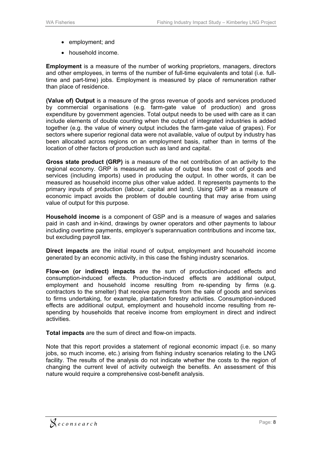- employment; and
- household income.

**Employment** is a measure of the number of working proprietors, managers, directors and other employees, in terms of the number of full-time equivalents and total (i.e. fulltime and part-time) jobs. Employment is measured by place of remuneration rather than place of residence.

**(Value of) Output** is a measure of the gross revenue of goods and services produced by commercial organisations (e.g. farm-gate value of production) and gross expenditure by government agencies. Total output needs to be used with care as it can include elements of double counting when the output of integrated industries is added together (e.g. the value of winery output includes the farm-gate value of grapes). For sectors where superior regional data were not available, value of output by industry has been allocated across regions on an employment basis, rather than in terms of the location of other factors of production such as land and capital.

**Gross state product (GRP)** is a measure of the net contribution of an activity to the regional economy. GRP is measured as value of output less the cost of goods and services (including imports) used in producing the output. In other words, it can be measured as household income plus other value added. It represents payments to the primary inputs of production (labour, capital and land). Using GRP as a measure of economic impact avoids the problem of double counting that may arise from using value of output for this purpose.

**Household income** is a component of GSP and is a measure of wages and salaries paid in cash and in-kind, drawings by owner operators and other payments to labour including overtime payments, employer's superannuation contributions and income tax, but excluding payroll tax.

**Direct impacts** are the initial round of output*,* employment and household income generated by an economic activity, in this case the fishing industry scenarios.

**Flow-on (or indirect) impacts** are the sum of production-induced effects and consumption-induced effects. Production-induced effects are additional output, employment and household income resulting from re-spending by firms (e.g. contractors to the smelter) that receive payments from the sale of goods and services to firms undertaking, for example, plantation forestry activities. Consumption-induced effects are additional output, employment and household income resulting from respending by households that receive income from employment in direct and indirect activities.

**Total impacts** are the sum of direct and flow-on impacts.

Note that this report provides a statement of regional economic impact (i.e. so many jobs, so much income, etc.) arising from fishing industry scenarios relating to the LNG facility. The results of the analysis do not indicate whether the costs to the region of changing the current level of activity outweigh the benefits. An assessment of this nature would require a comprehensive cost-benefit analysis.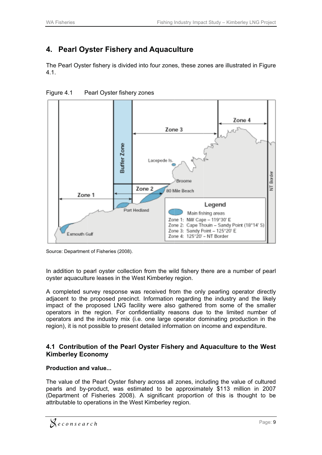# **4. Pearl Oy yster Fis hery and d Aquacu ulture**

The Pearl Oyster fishery is divided into four zones, these zones are illustrated in Figure 4.1.



Figure 4.1 P Pearl Oyster fishery zones

In addition to pearl oyster collection from the wild fishery there are a number of pearl oyster aquaculture leases in the West Kimberley region.

A completed survey response was received from the only pearling operator directly adjacent to the proposed precinct. Information regarding the industry and the likely impact of the proposed LNG facility were also gathered from some of the smaller operators in the region. For confidentiality reasons due to the limited number of operators and the industry mix (i.e. one large operator dominating production in the region), it is not possible to present detailed information on income and expenditure.

#### **4.1 Contribution of the Pearl Oyster Fishery and Aquaculture to the West Kim berley Ec onomy**

#### **Production and value...**

The value of the Pearl Oyster fishery across all zones, including the value of cultured pearls and by-product, was estimated to be approximately \$113 million in 2007 (Department of Fisheries 2008). A significant proportion of this is thought to be attributable to operations in the West Kimberley region.

Source: Department of Fisheries (2008).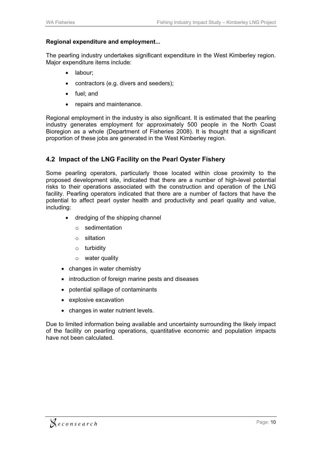#### **Regional expenditure and employment...**

The pearling industry undertakes significant expenditure in the West Kimberley region. Major expenditure items include:

- labour;
- contractors (e.g. divers and seeders);
- fuel; and
- repairs and maintenance.

Regional employment in the industry is also significant. It is estimated that the pearling industry generates employment for approximately 500 people in the North Coast Bioregion as a whole (Department of Fisheries 2008). It is thought that a significant proportion of these jobs are generated in the West Kimberley region.

#### **4.2 Impact of the LNG Facility on the Pearl Oyster Fishery**

Some pearling operators, particularly those located within close proximity to the proposed development site, indicated that there are a number of high-level potential risks to their operations associated with the construction and operation of the LNG facility. Pearling operators indicated that there are a number of factors that have the potential to affect pearl oyster health and productivity and pearl quality and value, including:

- dredging of the shipping channel
	- o sedimentation
	- o siltation
	- o turbidity
	- o water quality
- changes in water chemistry
- introduction of foreign marine pests and diseases
- potential spillage of contaminants
- explosive excavation
- changes in water nutrient levels.

Due to limited information being available and uncertainty surrounding the likely impact of the facility on pearling operations, quantitative economic and population impacts have not been calculated.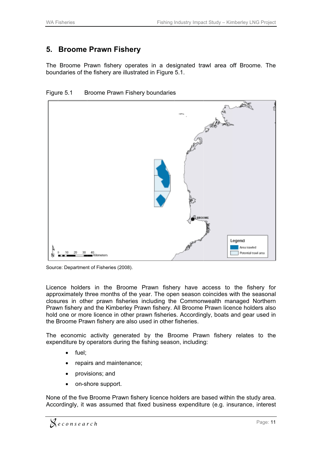#### **5. Broome Prawn F Fishery**

The Broome Prawn fishery operates in a designated trawl area off Broome. The boundaries of the fishery are illustrated in Figure 5.1.





Source: Department of Fisheries (2008).

Licence holders in the Broome Prawn fishery have access to the fishery for approximately three months of the year. The open season coincides with the seasonal closures in other prawn fisheries including the Commonwealth managed Northern Prawn fishery and the Kimberley Prawn fishery. All Broome Prawn licence holders also hold one or more licence in other prawn fisheries. Accordingly, boats and gear used in the Broome Prawn fishery are also used in other fisheries.

The economic activity generated by the Broome Prawn fishery relates to the expenditure by operators during the fishing season, including:

- $\bullet$ fuel;
- $\bullet$ repairs and maintenance;
- $\bullet$ provisions; and
- on-shore support.

None of the five Broome Prawn fishery licence holders are based within the study area. Accordingly, it was assumed that fixed business expenditure (e.g. insurance, interest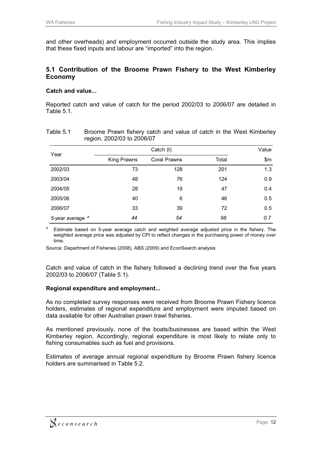and other overheads) and employment occurred outside the study area. This implies that these fixed inputs and labour are "imported" into the region.

#### **5.1 Contribution of the Broome Prawn Fishery to the West Kimberley Economy**

#### **Catch and value...**

Reported catch and value of catch for the period 2002/03 to 2006/07 are detailed in Table 5.1.

| ັ                           |             |                     |       | Value |  |
|-----------------------------|-------------|---------------------|-------|-------|--|
| Year                        | Catch (t)   |                     |       |       |  |
|                             | King Prawns | <b>Coral Prawns</b> | Total | \$m\$ |  |
| 2002/03                     | 73          | 128                 | 201   | 1.3   |  |
| 2003/04                     | 48          | 76                  | 124   | 0.9   |  |
| 2004/05                     | 28          | 19                  | 47    | 0.4   |  |
| 2005/06                     | 40          | 6                   | 46    | 0.5   |  |
| 2006/07                     | 33          | 39                  | 72    | 0.5   |  |
| 5-year average <sup>a</sup> | 44          | 54                  | 98    | 0.7   |  |

| Table 5.1 | Broome Prawn fishery catch and value of catch in the West Kimberley |  |
|-----------|---------------------------------------------------------------------|--|
|           | region, 2002/03 to 2006/07                                          |  |

<sup>a</sup> Estimate based on 5-year average catch and weighted average adjusted price in the fishery. The weighted average price was adjusted by CPI to reflect changes in the purchasing power of money over time.

Source: Department of Fisheries (2008), ABS (2009) and EconSearch analysis

Catch and value of catch in the fishery followed a declining trend over the five years 2002/03 to 2006/07 (Table 5.1).

#### **Regional expenditure and employment...**

As no completed survey responses were received from Broome Prawn Fishery licence holders, estimates of regional expenditure and employment were imputed based on data available for other Australian prawn trawl fisheries.

As mentioned previously, none of the boats/businesses are based within the West Kimberley region. Accordingly, regional expenditure is most likely to relate only to fishing consumables such as fuel and provisions.

Estimates of average annual regional expenditure by Broome Prawn fishery licence holders are summarised in Table 5.2.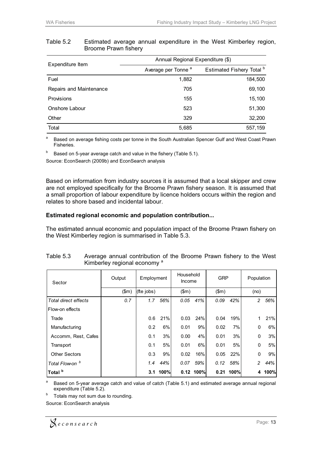|                         | Annual Regional Expenditure (\$) |                           |  |  |  |  |
|-------------------------|----------------------------------|---------------------------|--|--|--|--|
| Expenditure Item        | Average per Tonne <sup>a</sup>   | Estimated Fishery Total b |  |  |  |  |
| Fuel                    | 1,882                            | 184,500                   |  |  |  |  |
| Repairs and Maintenance | 705                              | 69,100                    |  |  |  |  |
| Provisions              | 155                              | 15,100                    |  |  |  |  |
| Onshore Labour          | 523                              | 51,300                    |  |  |  |  |
| Other                   | 329                              | 32,200                    |  |  |  |  |
| Total                   | 5,685                            | 557,159                   |  |  |  |  |

#### Table 5.2 Estimated average annual expenditure in the West Kimberley region, Broome Prawn fishery

<sup>a</sup> Based on average fishing costs per tonne in the South Australian Spencer Gulf and West Coast Prawn Fisheries.

 $b$  Based on 5-year average catch and value in the fishery (Table 5.1).

Source: EconSearch (2009b) and EconSearch analysis

Based on information from industry sources it is assumed that a local skipper and crew are not employed specifically for the Broome Prawn fishery season. It is assumed that a small proportion of labour expenditure by licence holders occurs within the region and relates to shore based and incidental labour.

#### **Estimated regional economic and population contribution...**

The estimated annual economic and population impact of the Broome Prawn fishery on the West Kimberley region is summarised in Table 5.3.

| Sector                     | Output | Employment |      | Household<br>Income |             | <b>GRP</b> |             | Population     |      |
|----------------------------|--------|------------|------|---------------------|-------------|------------|-------------|----------------|------|
|                            | \$m\$  | (fte jobs) |      | \$m\$               |             | \$m\$      |             | (no)           |      |
| Total direct effects       | 0.7    | 1.7        | 56%  | 0.05                | 41%         | 0.09       | 42%         | 2              | 56%  |
| Flow-on effects            |        |            |      |                     |             |            |             |                |      |
| Trade                      |        | 0.6        | 21%  | 0.03                | 24%         | 0.04       | 19%         |                | 21%  |
| Manufacturing              |        | 0.2        | 6%   | 0.01                | 9%          | 0.02       | 7%          | $\Omega$       | 6%   |
| Accomm, Rest, Cafes        |        | 0.1        | 3%   | 0.00                | 4%          | 0.01       | 3%          | $\mathbf{0}$   | 3%   |
| Transport                  |        | 0.1        | 5%   | 0.01                | 6%          | 0.01       | 5%          | 0              | 5%   |
| <b>Other Sectors</b>       |        | 0.3        | 9%   | 0.02                | 16%         | 0.05       | 22%         | $\mathbf{0}$   | 9%   |
| Total Flow-on <sup>b</sup> |        | 1.4        | 44%  | 0.07                | 59%         | 0.12       | 58%         | $\overline{c}$ | 44%  |
| Total <sup>b</sup>         |        | 3.1        | 100% |                     | $0.12$ 100% |            | $0.21$ 100% | 4              | 100% |

| Table 5.3 |  | Average annual contribution of the Broome Prawn fishery to the West |  |  |  |  |
|-----------|--|---------------------------------------------------------------------|--|--|--|--|
|           |  | Kimberley regional economy <sup>a</sup>                             |  |  |  |  |

<sup>a</sup> Based on 5-year average catch and value of catch (Table 5.1) and estimated average annual regional expenditure (Table 5.2).

 $b$  Totals may not sum due to rounding.

Source: EconSearch analysis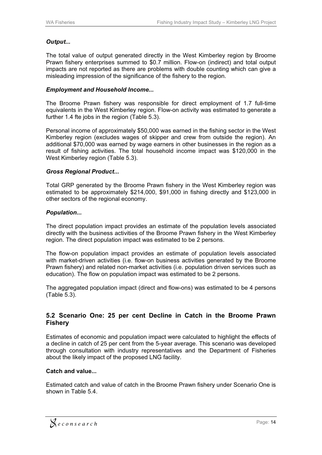#### *Output...*

The total value of output generated directly in the West Kimberley region by Broome Prawn fishery enterprises summed to \$0.7 million. Flow-on (indirect) and total output impacts are not reported as there are problems with double counting which can give a misleading impression of the significance of the fishery to the region.

#### *Employment and Household Income...*

The Broome Prawn fishery was responsible for direct employment of 1.7 full-time equivalents in the West Kimberley region. Flow-on activity was estimated to generate a further 1.4 fte jobs in the region (Table 5.3).

Personal income of approximately \$50,000 was earned in the fishing sector in the West Kimberley region (excludes wages of skipper and crew from outside the region). An additional \$70,000 was earned by wage earners in other businesses in the region as a result of fishing activities. The total household income impact was \$120,000 in the West Kimberley region (Table 5.3).

#### *Gross Regional Product...*

Total GRP generated by the Broome Prawn fishery in the West Kimberley region was estimated to be approximately \$214,000, \$91,000 in fishing directly and \$123,000 in other sectors of the regional economy.

#### *Population...*

The direct population impact provides an estimate of the population levels associated directly with the business activities of the Broome Prawn fishery in the West Kimberley region. The direct population impact was estimated to be 2 persons.

The flow-on population impact provides an estimate of population levels associated with market-driven activities (i.e. flow-on business activities generated by the Broome Prawn fishery) and related non-market activities (i.e. population driven services such as education). The flow on population impact was estimated to be 2 persons.

The aggregated population impact (direct and flow-ons) was estimated to be 4 persons (Table 5.3).

#### **5.2 Scenario One: 25 per cent Decline in Catch in the Broome Prawn Fishery**

Estimates of economic and population impact were calculated to highlight the effects of a decline in catch of 25 per cent from the 5-year average. This scenario was developed through consultation with industry representatives and the Department of Fisheries about the likely impact of the proposed LNG facility.

#### **Catch and value...**

Estimated catch and value of catch in the Broome Prawn fishery under Scenario One is shown in Table 5.4.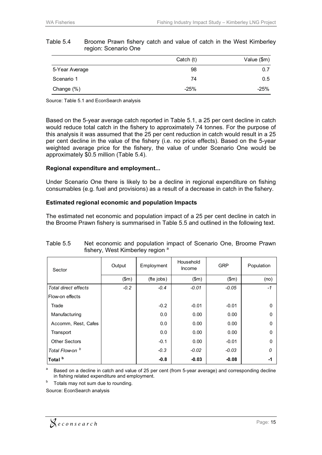| . .            |           |             |
|----------------|-----------|-------------|
|                | Catch (t) | Value (\$m) |
| 5-Year Average | 98        | 0.7         |
| Scenario 1     | 74        | 0.5         |
| Change (%)     | $-25%$    | $-25%$      |

#### Table 5.4 Broome Prawn fishery catch and value of catch in the West Kimberley region: Scenario One

Source: Table 5.1 and EconSearch analysis

Based on the 5-year average catch reported in Table 5.1, a 25 per cent decline in catch would reduce total catch in the fishery to approximately 74 tonnes. For the purpose of this analysis it was assumed that the 25 per cent reduction in catch would result in a 25 per cent decline in the value of the fishery (i.e. no price effects). Based on the 5-year weighted average price for the fishery, the value of under Scenario One would be approximately \$0.5 million (Table 5.4).

#### **Regional expenditure and employment...**

Under Scenario One there is likely to be a decline in regional expenditure on fishing consumables (e.g. fuel and provisions) as a result of a decrease in catch in the fishery.

#### **Estimated regional economic and population Impacts**

The estimated net economic and population impact of a 25 per cent decline in catch in the Broome Prawn fishery is summarised in Table 5.5 and outlined in the following text.

| Sector                     | Output | Employment | Household<br>Income | <b>GRP</b> | Population   |
|----------------------------|--------|------------|---------------------|------------|--------------|
|                            | \$m\$  | (fte jobs) | \$m\$               | \$m\$      | (no)         |
| Total direct effects       | $-0.2$ | $-0.4$     | $-0.01$             | $-0.05$    | $-1$         |
| Flow-on effects            |        |            |                     |            |              |
| Trade                      |        | $-0.2$     | $-0.01$             | $-0.01$    | $\Omega$     |
| Manufacturing              |        | 0.0        | 0.00                | 0.00       | $\Omega$     |
| Accomm, Rest, Cafes        |        | 0.0        | 0.00                | 0.00       | $\mathbf{0}$ |
| Transport                  |        | 0.0        | 0.00                | 0.00       | $\mathbf{0}$ |
| <b>Other Sectors</b>       |        | $-0.1$     | 0.00                | $-0.01$    | $\mathbf{0}$ |
| Total Flow-on <sup>b</sup> |        | $-0.3$     | $-0.02$             | $-0.03$    | 0            |
| Total <sup>b</sup>         |        | $-0.8$     | $-0.03$             | $-0.08$    | -1           |

#### Table 5.5 Net economic and population impact of Scenario One, Broome Prawn fishery, West Kimberley region<sup>a</sup>

Based on a decline in catch and value of 25 per cent (from 5-year average) and corresponding decline in fishing related expenditure and employment.

Totals may not sum due to rounding.

Source: EconSearch analysis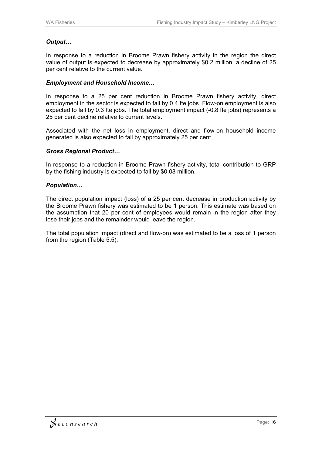#### *Output…*

In response to a reduction in Broome Prawn fishery activity in the region the direct value of output is expected to decrease by approximately \$0.2 million, a decline of 25 per cent relative to the current value.

#### *Employment and Household Income…*

In response to a 25 per cent reduction in Broome Prawn fishery activity, direct employment in the sector is expected to fall by 0.4 fte jobs. Flow-on employment is also expected to fall by 0.3 fte jobs. The total employment impact (-0.8 fte jobs) represents a 25 per cent decline relative to current levels.

Associated with the net loss in employment, direct and flow-on household income generated is also expected to fall by approximately 25 per cent.

#### *Gross Regional Product…*

In response to a reduction in Broome Prawn fishery activity, total contribution to GRP by the fishing industry is expected to fall by \$0.08 million.

#### *Population…*

The direct population impact (loss) of a 25 per cent decrease in production activity by the Broome Prawn fishery was estimated to be 1 person. This estimate was based on the assumption that 20 per cent of employees would remain in the region after they lose their jobs and the remainder would leave the region.

The total population impact (direct and flow-on) was estimated to be a loss of 1 person from the region (Table 5.5).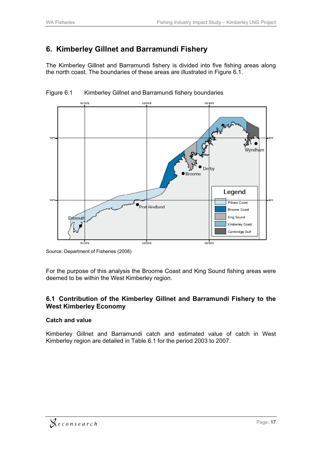# **6. Kimberley Gillnet and Barramundi Fishery**

The Kimberley Gillnet and Barramundi fishery is divided into five fishing areas along the north coast. The boundaries of these areas are illustrated in Figure 6.1.



Figure 6.1 Kimberley Gillnet and Barramundi fishery boundaries

For the purpose of this analysis the Broome Coast and King Sound fishing areas were deemed to be within the West Kimberley region.

#### **6.1 Contribution of the Kimberley Gillnet and Barramundi Fishery to the West Kimberley Economy**

#### **Catch and value**

Kimberley Gillnet and Barramundi catch and estimated value of catch in West Kimberley region are detailed in Table 6.1 for the period 2003 to 2007.

Source: Department of Fisheries (2008)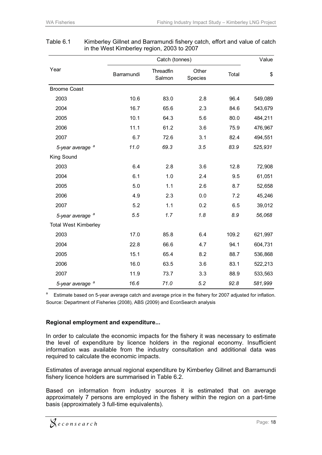|                             |            | Value               |                  |       |         |
|-----------------------------|------------|---------------------|------------------|-------|---------|
| Year                        | Barramundi | Threadfin<br>Salmon | Other<br>Species | Total | \$      |
| <b>Broome Coast</b>         |            |                     |                  |       |         |
| 2003                        | 10.6       | 83.0                | 2.8              | 96.4  | 549,089 |
| 2004                        | 16.7       | 65.6                | 2.3              | 84.6  | 543,679 |
| 2005                        | 10.1       | 64.3                | 5.6              | 80.0  | 484,211 |
| 2006                        | 11.1       | 61.2                | 3.6              | 75.9  | 476,967 |
| 2007                        | 6.7        | 72.6                | 3.1              | 82.4  | 494,551 |
| 5-year average <sup>a</sup> | 11.0       | 69.3                | 3.5              | 83.9  | 525,931 |
| King Sound                  |            |                     |                  |       |         |
| 2003                        | 6.4        | 2.8                 | 3.6              | 12.8  | 72,908  |
| 2004                        | 6.1        | 1.0                 | 2.4              | 9.5   | 61,051  |
| 2005                        | 5.0        | 1.1                 | 2.6              | 8.7   | 52,658  |
| 2006                        | 4.9        | 2.3                 | 0.0              | 7.2   | 45,246  |
| 2007                        | 5.2        | 1.1                 | 0.2              | 6.5   | 39,012  |
| 5-year average <sup>a</sup> | 5.5        | 1.7                 | 1.8              | 8.9   | 56,068  |
| <b>Total West Kimberley</b> |            |                     |                  |       |         |
| 2003                        | 17.0       | 85.8                | 6.4              | 109.2 | 621,997 |
| 2004                        | 22.8       | 66.6                | 4.7              | 94.1  | 604,731 |
| 2005                        | 15.1       | 65.4                | 8.2              | 88.7  | 536,868 |
| 2006                        | 16.0       | 63.5                | 3.6              | 83.1  | 522,213 |
| 2007                        | 11.9       | 73.7                | 3.3              | 88.9  | 533,563 |
| a<br>5-year average         | 16.6       | 71.0                | 5.2              | 92.8  | 581,999 |

#### Table 6.1 Kimberley Gillnet and Barramundi fishery catch, effort and value of catch in the West Kimberley region, 2003 to 2007

<sup>a</sup> Estimate based on 5-year average catch and average price in the fishery for 2007 adjusted for inflation. Source: Department of Fisheries (2008), ABS (2009) and EconSearch analysis

#### **Regional employment and expenditure...**

In order to calculate the economic impacts for the fishery it was necessary to estimate the level of expenditure by licence holders in the regional economy. Insufficient information was available from the industry consultation and additional data was required to calculate the economic impacts.

Estimates of average annual regional expenditure by Kimberley Gillnet and Barramundi fishery licence holders are summarised in Table 6.2.

Based on information from industry sources it is estimated that on average approximately 7 persons are employed in the fishery within the region on a part-time basis (approximately 3 full-time equivalents).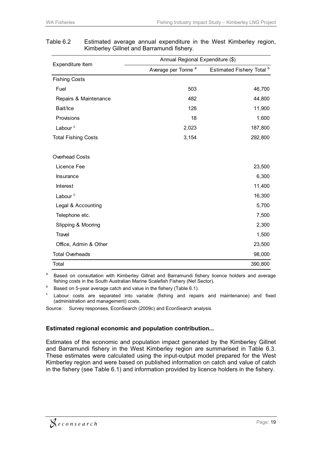| Expenditure Item           | Annual Regional Expenditure (\$) |                                      |
|----------------------------|----------------------------------|--------------------------------------|
|                            | Average per Tonne <sup>a</sup>   | Estimated Fishery Total <sup>b</sup> |
| <b>Fishing Costs</b>       |                                  |                                      |
| Fuel                       | 503                              | 46,700                               |
| Repairs & Maintenance      | 482                              | 44,800                               |
| Bait/Ice                   | 128                              | 11,900                               |
| Provisions                 | 18                               | 1,600                                |
| Labour <sup>c</sup>        | 2,023                            | 187,800                              |
| <b>Total Fishing Costs</b> | 3,154                            | 292,800                              |
| Overhead Costs             |                                  |                                      |
| Licence Fee                |                                  | 23,500                               |
| Insurance                  |                                  | 6,300                                |
| Interest                   |                                  | 11,400                               |
| Labour <sup>c</sup>        |                                  | 16,300                               |
| Legal & Accounting         |                                  | 5,700                                |
| Telephone etc.             |                                  | 7,500                                |
| Slipping & Mooring         |                                  | 2,300                                |
| Travel                     |                                  | 1,500                                |
| Office, Admin & Other      |                                  | 23,500                               |
| <b>Total Overheads</b>     |                                  | 98,000                               |
| Total                      |                                  | 390,800                              |

#### Table 6.2 Estimated average annual expenditure in the West Kimberley region, Kimberley Gillnet and Barramundi fishery.

a Based on consultation with Kimberley Gillnet and Barramundi fishery licence holders and average fishing costs in the South Australian Marine Scalefish Fishery (Net Sector).

Based on 5-year average catch and value in the fishery (Table 6.1).

c Labour costs are separated into variable (fishing and repairs and maintenance) and fixed (administration and management) costs.

Source: Survey responses, EconSearch (2009c) and EconSearch analysis

#### **Estimated regional economic and population contribution...**

Estimates of the economic and population impact generated by the Kimberley Gillnet and Barramundi fishery in the West Kimberley region are summarised in Table 6.3. These estimates were calculated using the input-output model prepared for the West Kimberley region and were based on published information on catch and value of catch in the fishery (see Table 6.1) and information provided by licence holders in the fishery.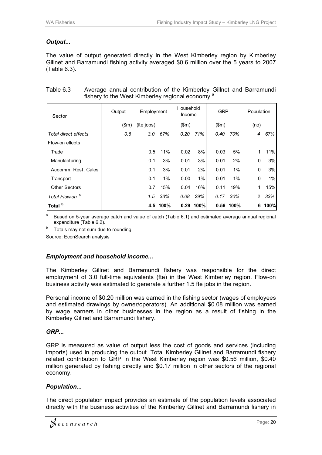#### *Output...*

The value of output generated directly in the West Kimberley region by Kimberley Gillnet and Barramundi fishing activity averaged \$0.6 million over the 5 years to 2007 (Table 6.3).

| Sector               | Output | Employment |          | Household<br>Income |      | <b>GRP</b> |      | Population |      |
|----------------------|--------|------------|----------|---------------------|------|------------|------|------------|------|
|                      | \$m\$  | (fte jobs) |          | \$m\$               |      | \$m\$      |      | (no)       |      |
| Total direct effects | 0.6    | 3.0        | 67%      | 0.20                | 71%  | 0.40       | 70%  | 4          | 67%  |
| Flow-on effects      |        |            |          |                     |      |            |      |            |      |
| Trade                |        | 0.5        | 11%      | 0.02                | 8%   | 0.03       | 5%   | 1          | 11%  |
| Manufacturing        |        | 0.1        | 3%       | 0.01                | 3%   | 0.01       | 2%   | 0          | 3%   |
| Accomm, Rest, Cafes  |        | 0.1        | 3%       | 0.01                | 2%   | 0.01       | 1%   | 0          | 3%   |
| Transport            |        | 0.1        | 1%       | 0.00                | 1%   | 0.01       | 1%   | 0          | 1%   |
| <b>Other Sectors</b> |        | 0.7        | 15%      | 0.04                | 16%  | 0.11       | 19%  | 1          | 15%  |
| Total Flow-on b      |        | 1.5        | 33%      | 0.08                | 29%  | 0.17       | 30%  | 2          | 33%  |
| Total <sup>b</sup>   |        |            | 4.5 100% | 0.29                | 100% | 0.56       | 100% | 6          | 100% |

#### Table 6.3 Average annual contribution of the Kimberley Gillnet and Barramundi fishery to the West Kimberley regional economy<sup>a</sup>

<sup>a</sup> Based on 5-year average catch and value of catch (Table 6.1) and estimated average annual regional expenditure (Table 6.2).<br> $b$  Totals may not sum due to rounding.

Source: EconSearch analysis

#### *Employment and household income...*

The Kimberley Gillnet and Barramundi fishery was responsible for the direct employment of 3.0 full-time equivalents (fte) in the West Kimberley region. Flow-on business activity was estimated to generate a further 1.5 fte jobs in the region.

Personal income of \$0.20 million was earned in the fishing sector (wages of employees and estimated drawings by owner/operators). An additional \$0.08 million was earned by wage earners in other businesses in the region as a result of fishing in the Kimberley Gillnet and Barramundi fishery.

#### *GRP...*

GRP is measured as value of output less the cost of goods and services (including imports) used in producing the output. Total Kimberley Gillnet and Barramundi fishery related contribution to GRP in the West Kimberley region was \$0.56 million, \$0.40 million generated by fishing directly and \$0.17 million in other sectors of the regional economy.

#### *Population...*

The direct population impact provides an estimate of the population levels associated directly with the business activities of the Kimberley Gillnet and Barramundi fishery in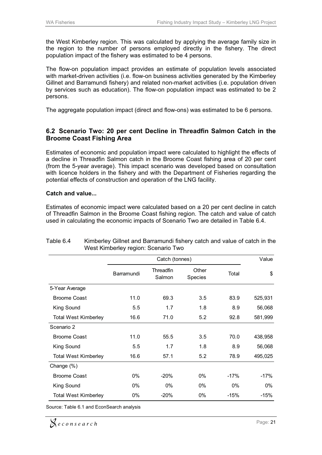the West Kimberley region. This was calculated by applying the average family size in the region to the number of persons employed directly in the fishery. The direct population impact of the fishery was estimated to be 4 persons.

The flow-on population impact provides an estimate of population levels associated with market-driven activities (i.e. flow-on business activities generated by the Kimberley Gillnet and Barramundi fishery) and related non-market activities (i.e. population driven by services such as education). The flow-on population impact was estimated to be 2 persons.

The aggregate population impact (direct and flow-ons) was estimated to be 6 persons.

#### **6.2 Scenario Two: 20 per cent Decline in Threadfin Salmon Catch in the Broome Coast Fishing Area**

Estimates of economic and population impact were calculated to highlight the effects of a decline in Threadfin Salmon catch in the Broome Coast fishing area of 20 per cent (from the 5-year average). This impact scenario was developed based on consultation with licence holders in the fishery and with the Department of Fisheries regarding the potential effects of construction and operation of the LNG facility.

#### **Catch and value...**

Estimates of economic impact were calculated based on a 20 per cent decline in catch of Threadfin Salmon in the Broome Coast fishing region. The catch and value of catch used in calculating the economic impacts of Scenario Two are detailed in Table 6.4.

|                             |            | Value               |                  |        |         |
|-----------------------------|------------|---------------------|------------------|--------|---------|
|                             | Barramundi | Threadfin<br>Salmon | Other<br>Species | Total  | \$      |
| 5-Year Average              |            |                     |                  |        |         |
| <b>Broome Coast</b>         | 11.0       | 69.3                | 3.5              | 83.9   | 525,931 |
| King Sound                  | 5.5        | 1.7                 | 1.8              | 8.9    | 56,068  |
| <b>Total West Kimberley</b> | 16.6       | 71.0                | 5.2              | 92.8   | 581,999 |
| Scenario 2                  |            |                     |                  |        |         |
| <b>Broome Coast</b>         | 11.0       | 55.5                | 3.5              | 70.0   | 438,958 |
| King Sound                  | 5.5        | 1.7                 | 1.8              | 8.9    | 56,068  |
| <b>Total West Kimberley</b> | 16.6       | 57.1                | 5.2              | 78.9   | 495,025 |
| Change $(\%)$               |            |                     |                  |        |         |
| <b>Broome Coast</b>         | 0%         | $-20%$              | 0%               | $-17%$ | $-17%$  |
| King Sound                  | $0\%$      | $0\%$               | $0\%$            | $0\%$  | $0\%$   |
| <b>Total West Kimberley</b> | 0%         | $-20%$              | 0%               | $-15%$ | $-15%$  |

Table 6.4 Kimberley Gillnet and Barramundi fishery catch and value of catch in the West Kimberley region: Scenario Two

Source: Table 6.1 and EconSearch analysis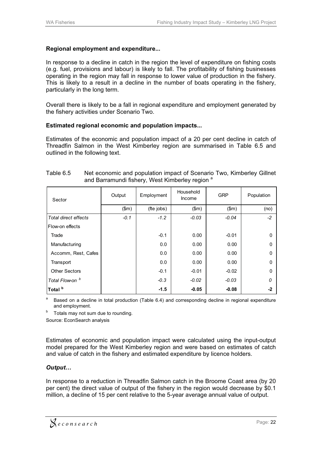#### **Regional employment and expenditure...**

In response to a decline in catch in the region the level of expenditure on fishing costs (e.g. fuel, provisions and labour) is likely to fall. The profitability of fishing businesses operating in the region may fall in response to lower value of production in the fishery. This is likely to a result in a decline in the number of boats operating in the fishery, particularly in the long term.

Overall there is likely to be a fall in regional expenditure and employment generated by the fishery activities under Scenario Two.

#### **Estimated regional economic and population impacts...**

Estimates of the economic and population impact of a 20 per cent decline in catch of Threadfin Salmon in the West Kimberley region are summarised in Table 6.5 and outlined in the following text.

| Sector               | Output | Employment | Household<br>Income | <b>GRP</b> | Population |
|----------------------|--------|------------|---------------------|------------|------------|
|                      | \$m\$  | (fte jobs) | \$m\$               | \$m\$      | (no)       |
| Total direct effects | $-0.1$ | $-1.2$     | $-0.03$             | $-0.04$    | $-2$       |
| Flow-on effects      |        |            |                     |            |            |
| Trade                |        | $-0.1$     | 0.00                | $-0.01$    | $\Omega$   |
| Manufacturing        |        | 0.0        | 0.00                | 0.00       | $\Omega$   |
| Accomm, Rest, Cafes  |        | 0.0        | 0.00                | 0.00       | $\Omega$   |
| Transport            |        | 0.0        | 0.00                | 0.00       | $\Omega$   |
| <b>Other Sectors</b> |        | $-0.1$     | $-0.01$             | $-0.02$    | $\Omega$   |
| Total Flow-on b      |        | $-0.3$     | $-0.02$             | $-0.03$    | $\Omega$   |
| Total <sup>b</sup>   |        | $-1.5$     | $-0.05$             | $-0.08$    | $-2$       |

#### Table 6.5 Net economic and population impact of Scenario Two, Kimberley Gillnet and Barramundi fishery, West Kimberley region<sup>a</sup>

Based on a decline in total production (Table 6.4) and corresponding decline in regional expenditure and employment.<br>Totals may not sum due to rounding.

Source: EconSearch analysis

Estimates of economic and population impact were calculated using the input-output model prepared for the West Kimberley region and were based on estimates of catch and value of catch in the fishery and estimated expenditure by licence holders.

#### *Output…*

In response to a reduction in Threadfin Salmon catch in the Broome Coast area (by 20 per cent) the direct value of output of the fishery in the region would decrease by \$0.1 million, a decline of 15 per cent relative to the 5-year average annual value of output.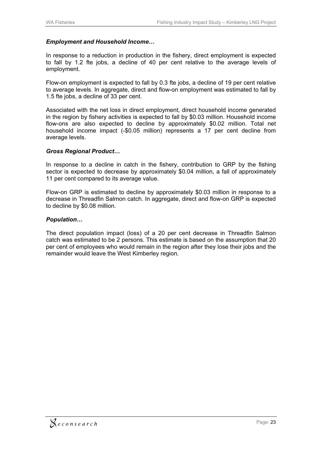#### *Employment and Household Income…*

In response to a reduction in production in the fishery, direct employment is expected to fall by 1.2 fte jobs, a decline of 40 per cent relative to the average levels of employment.

Flow-on employment is expected to fall by 0.3 fte jobs, a decline of 19 per cent relative to average levels. In aggregate, direct and flow-on employment was estimated to fall by 1.5 fte jobs, a decline of 33 per cent.

Associated with the net loss in direct employment, direct household income generated in the region by fishery activities is expected to fall by \$0.03 million. Household income flow-ons are also expected to decline by approximately \$0.02 million. Total net household income impact (-\$0.05 million) represents a 17 per cent decline from average levels.

#### *Gross Regional Product…*

In response to a decline in catch in the fishery, contribution to GRP by the fishing sector is expected to decrease by approximately \$0.04 million, a fall of approximately 11 per cent compared to its average value.

Flow-on GRP is estimated to decline by approximately \$0.03 million in response to a decrease in Threadfin Salmon catch. In aggregate, direct and flow-on GRP is expected to decline by \$0.08 million.

#### *Population…*

The direct population impact (loss) of a 20 per cent decrease in Threadfin Salmon catch was estimated to be 2 persons. This estimate is based on the assumption that 20 per cent of employees who would remain in the region after they lose their jobs and the remainder would leave the West Kimberley region.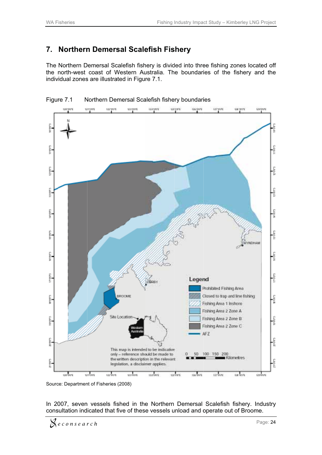#### **7. Northern Demersal Scalefish Fishery**

The Northern Demersal Scalefish fishery is divided into three fishing zones located off the north-west coast of Western Australia. The boundaries of the fishery and the individual zones are illustrated in Figure 7.1.





In 2007, seven vessels fished in the Northern Demersal Scalefish fishery. Industry consultation indicated that five of these vessels unload and operate out of Broome.

Source: Department of Fisheries (2008)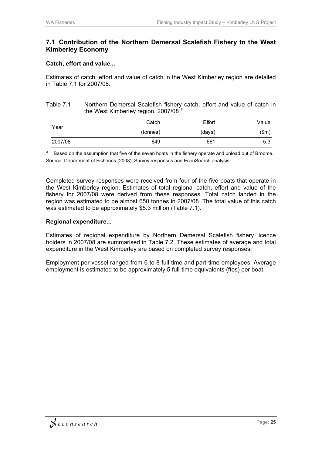#### **7.1 Contribution of the Northern Demersal Scalefish Fishery to the West Kimberley Economy**

#### **Catch, effort and value...**

Estimates of catch, effort and value of catch in the West Kimberley region are detailed in Table 7.1 for 2007/08.

#### Table 7.1 Northern Demersal Scalefish fishery catch, effort and value of catch in the West Kimberley region, 2007/08<sup>a</sup>

| Year    | Catch    | Effort | Value |
|---------|----------|--------|-------|
|         | (tonnes) | (days) | (\$m) |
| 2007/08 | 649      | 661    | 5.3   |

Based on the assumption that five of the seven boats in the fishery operate and unload out of Broome. Source: Department of Fisheries (2008), Survey responses and EconSearch analysis

Completed survey responses were received from four of the five boats that operate in the West Kimberley region. Estimates of total regional catch, effort and value of the fishery for 2007/08 were derived from these responses. Total catch landed in the region was estimated to be almost 650 tonnes in 2007/08. The total value of this catch was estimated to be approximately \$5.3 million (Table 7.1).

#### **Regional expenditure...**

Estimates of regional expenditure by Northern Demersal Scalefish fishery licence holders in 2007/08 are summarised in Table 7.2. These estimates of average and total expenditure in the West Kimberley are based on completed survey responses.

Employment per vessel ranged from 6 to 8 full-time and part-time employees. Average employment is estimated to be approximately 5 full-time equivalents (ftes) per boat.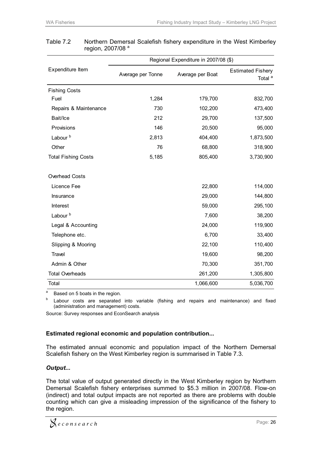|                            | Regional Expenditure in 2007/08 (\$) |                  |                                                |  |  |  |  |  |
|----------------------------|--------------------------------------|------------------|------------------------------------------------|--|--|--|--|--|
| Expenditure Item           | Average per Tonne                    | Average per Boat | <b>Estimated Fishery</b><br>Total <sup>a</sup> |  |  |  |  |  |
| <b>Fishing Costs</b>       |                                      |                  |                                                |  |  |  |  |  |
| Fuel                       | 1,284                                | 179,700          | 832,700                                        |  |  |  |  |  |
| Repairs & Maintenance      | 730                                  | 102,200          | 473,400                                        |  |  |  |  |  |
| Bait/Ice                   | 212                                  | 29,700           | 137,500                                        |  |  |  |  |  |
| Provisions                 | 146                                  | 20,500           | 95,000                                         |  |  |  |  |  |
| Labour <sup>b</sup>        | 2,813                                | 404,400          | 1,873,500                                      |  |  |  |  |  |
| Other                      | 76                                   | 68,800           | 318,900                                        |  |  |  |  |  |
| <b>Total Fishing Costs</b> | 5,185                                | 805,400          | 3,730,900                                      |  |  |  |  |  |
| Overhead Costs             |                                      |                  |                                                |  |  |  |  |  |
| Licence Fee                |                                      | 22,800           | 114,000                                        |  |  |  |  |  |
| Insurance                  |                                      | 29,000           | 144,800                                        |  |  |  |  |  |
| Interest                   |                                      | 59,000           | 295,100                                        |  |  |  |  |  |
| Labour <sup>b</sup>        |                                      | 7,600            | 38,200                                         |  |  |  |  |  |
| Legal & Accounting         |                                      | 24,000           | 119,900                                        |  |  |  |  |  |
| Telephone etc.             |                                      | 6,700            | 33,400                                         |  |  |  |  |  |
| Slipping & Mooring         |                                      | 22,100           | 110,400                                        |  |  |  |  |  |
| Travel                     |                                      | 19,600           | 98,200                                         |  |  |  |  |  |
| Admin & Other              |                                      | 70,300           | 351,700                                        |  |  |  |  |  |
| <b>Total Overheads</b>     |                                      | 261,200          | 1,305,800                                      |  |  |  |  |  |
| Total                      |                                      | 1,066,600        | 5,036,700                                      |  |  |  |  |  |

#### Table 7.2 Northern Demersal Scalefish fishery expenditure in the West Kimberley region, 2007/08<sup>a</sup>

 $\frac{a}{b}$  Based on 5 boats in the region.

 Labour costs are separated into variable (fishing and repairs and maintenance) and fixed (administration and management) costs.

Source: Survey responses and EconSearch analysis

#### **Estimated regional economic and population contribution...**

The estimated annual economic and population impact of the Northern Demersal Scalefish fishery on the West Kimberley region is summarised in Table 7.3.

#### *Output...*

The total value of output generated directly in the West Kimberley region by Northern Demersal Scalefish fishery enterprises summed to \$5.3 million in 2007/08. Flow-on (indirect) and total output impacts are not reported as there are problems with double counting which can give a misleading impression of the significance of the fishery to the region.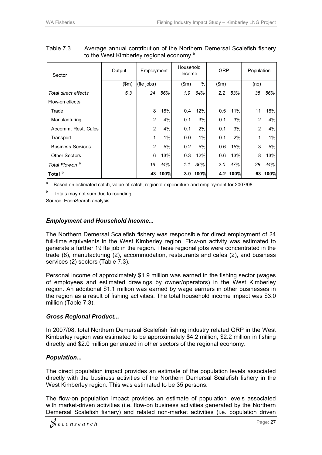| Sector                     | Output | Employment     |       | Household<br>Income |          | <b>GRP</b>    |          | Population     |       |
|----------------------------|--------|----------------|-------|---------------------|----------|---------------|----------|----------------|-------|
|                            | \$m\$  | (fte jobs)     |       | \$m\$               | %        | \$m\$         |          | (no)           |       |
| Total direct effects       | 5.3    | 24             | 56%   | 1.9                 | 64%      | $2.2^{\circ}$ | 53%      | 35             | 56%   |
| Flow-on effects            |        |                |       |                     |          |               |          |                |       |
| Trade                      |        | 8              | 18%   | 0.4                 | 12%      | 0.5           | 11%      | 11             | 18%   |
| Manufacturing              |        | 2              | 4%    | 0.1                 | 3%       | 0.1           | 3%       | $\overline{2}$ | 4%    |
| Accomm, Rest, Cafes        |        | 2              | 4%    | 0.1                 | 2%       | 0.1           | 3%       | $\overline{2}$ | 4%    |
| Transport                  |        | 1              | $1\%$ | 0.0                 | 1%       | 0.1           | 2%       | 1              | $1\%$ |
| <b>Business Services</b>   |        | $\overline{2}$ | 5%    | 0.2                 | 5%       | 0.6           | 15%      | 3              | 5%    |
| <b>Other Sectors</b>       |        | 6              | 13%   | 0.3                 | 12%      | 0.6           | 13%      | 8              | 13%   |
| Total Flow-on <sup>b</sup> |        | 19             | 44%   | 1.1                 | 36%      | 2.0           | 47%      | 28             | 44%   |
| Total <sup>b</sup>         |        | 43             | 100%  |                     | 3.0 100% |               | 4.2 100% | 63             | 100%  |

Table 7.3 Average annual contribution of the Northern Demersal Scalefish fishery to the West Kimberley regional economy<sup>a</sup>

<sup>a</sup> Based on estimated catch, value of catch, regional expenditure and employment for 2007/08.

 $b$  Totals may not sum due to rounding.

Source: EconSearch analysis

#### *Employment and Household Income...*

The Northern Demersal Scalefish fishery was responsible for direct employment of 24 full-time equivalents in the West Kimberley region. Flow-on activity was estimated to generate a further 19 fte job in the region. These regional jobs were concentrated in the trade (8), manufacturing (2), accommodation, restaurants and cafes (2), and business services (2) sectors (Table 7.3).

Personal income of approximately \$1.9 million was earned in the fishing sector (wages of employees and estimated drawings by owner/operators) in the West Kimberley region. An additional \$1.1 million was earned by wage earners in other businesses in the region as a result of fishing activities. The total household income impact was \$3.0 million (Table 7.3).

#### *Gross Regional Product...*

In 2007/08, total Northern Demersal Scalefish fishing industry related GRP in the West Kimberley region was estimated to be approximately \$4.2 million, \$2.2 million in fishing directly and \$2.0 million generated in other sectors of the regional economy.

#### *Population...*

The direct population impact provides an estimate of the population levels associated directly with the business activities of the Northern Demersal Scalefish fishery in the West Kimberley region. This was estimated to be 35 persons.

The flow-on population impact provides an estimate of population levels associated with market-driven activities (i.e. flow-on business activities generated by the Northern Demersal Scalefish fishery) and related non-market activities (i.e. population driven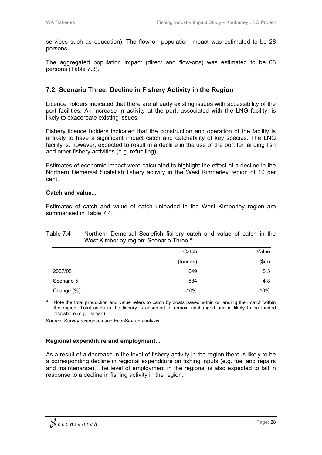services such as education). The flow on population impact was estimated to be 28 persons.

The aggregated population impact (direct and flow-ons) was estimated to be 63 persons (Table 7.3).

#### **7.2 Scenario Three: Decline in Fishery Activity in the Region**

Licence holders indicated that there are already existing issues with accessibility of the port facilities. An increase in activity at the port, associated with the LNG facility, is likely to exacerbate existing issues.

Fishery licence holders indicated that the construction and operation of the facility is unlikely to have a significant impact catch and catchability of key species. The LNG facility is, however, expected to result in a decline in the use of the port for landing fish and other fishery activities (e.g. refuelling).

Estimates of economic impact were calculated to highlight the effect of a decline in the Northern Demersal Scalefish fishery activity in the West Kimberley region of 10 per cent.

#### **Catch and value...**

Estimates of catch and value of catch unloaded in the West Kimberley region are summarised in Table 7.4.

#### Table 7.4 Northern Demersal Scalefish fishery catch and value of catch in the West Kimberley region: Scenario Three<sup>a</sup>

|            | Catch    | Value  |
|------------|----------|--------|
|            | (tonnes) | (\$m)  |
| 2007/08    | 649      | 5.3    |
| Scenario 5 | 584      | 4.8    |
| Change (%) | $-10%$   | $-10%$ |

<sup>a</sup> Note the total production and value refers to catch by boats based within or landing their catch within the region. Total catch in the fishery is assumed to remain unchanged and is likely to be landed elsewhere (e.g. Darwin).

Source: Survey responses and EconSearch analysis

#### **Regional expenditure and employment...**

As a result of a decrease in the level of fishery activity in the region there is likely to be a corresponding decline in regional expenditure on fishing inputs (e.g. fuel and repairs and maintenance). The level of employment in the regional is also expected to fall in response to a decline in fishing activity in the region.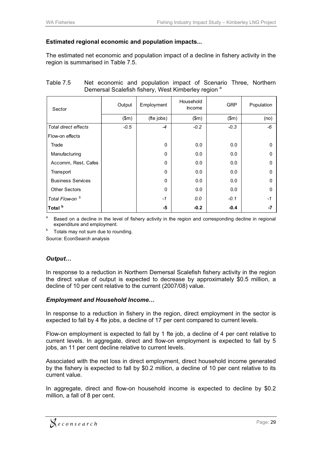#### **Estimated regional economic and population impacts...**

The estimated net economic and population impact of a decline in fishery activity in the region is summarised in Table 7.5.

| Sector                     | Output | Employment   | Household<br>Income | <b>GRP</b> | Population |
|----------------------------|--------|--------------|---------------------|------------|------------|
|                            | \$m\$  | (fte jobs)   | \$m\$               | \$m\$      | (no)       |
| Total direct effects       | $-0.5$ | $-4$         | $-0.2$              | $-0.3$     | -6         |
| Flow-on effects            |        |              |                     |            |            |
| Trade                      |        | $\Omega$     | 0.0                 | 0.0        | $\Omega$   |
| Manufacturing              |        | $\mathbf{0}$ | 0.0                 | 0.0        | $\Omega$   |
| Accomm, Rest, Cafes        |        | $\mathbf{0}$ | 0.0                 | 0.0        | $\Omega$   |
| Transport                  |        | $\mathbf{0}$ | 0.0                 | 0.0        | $\Omega$   |
| <b>Business Services</b>   |        | $\mathbf{0}$ | 0.0                 | 0.0        | $\Omega$   |
| <b>Other Sectors</b>       |        | $\Omega$     | 0.0                 | 0.0        | $\Omega$   |
| Total Flow-on <sup>b</sup> |        | $-1$         | 0.0                 | $-0.1$     | -1         |
| Total <sup>b</sup>         |        | -5           | $-0.2$              | $-0.4$     | -7         |
|                            |        |              |                     |            |            |

| Table 7.5 |                                                                |  |  | Net economic and population impact of Scenario Three, Northern |  |  |  |  |  |
|-----------|----------------------------------------------------------------|--|--|----------------------------------------------------------------|--|--|--|--|--|
|           | Demersal Scalefish fishery, West Kimberley region <sup>a</sup> |  |  |                                                                |  |  |  |  |  |

Based on a decline in the level of fishery activity in the region and corresponding decline in regional expenditure and employment.

Totals may not sum due to rounding.

Source: EconSearch analysis

#### *Output…*

In response to a reduction in Northern Demersal Scalefish fishery activity in the region the direct value of output is expected to decrease by approximately \$0.5 million, a decline of 10 per cent relative to the current (2007/08) value.

#### *Employment and Household Income…*

In response to a reduction in fishery in the region, direct employment in the sector is expected to fall by 4 fte jobs, a decline of 17 per cent compared to current levels.

Flow-on employment is expected to fall by 1 fte job, a decline of 4 per cent relative to current levels. In aggregate, direct and flow-on employment is expected to fall by 5 jobs, an 11 per cent decline relative to current levels.

Associated with the net loss in direct employment, direct household income generated by the fishery is expected to fall by \$0.2 million, a decline of 10 per cent relative to its current value.

In aggregate, direct and flow-on household income is expected to decline by \$0.2 million, a fall of 8 per cent.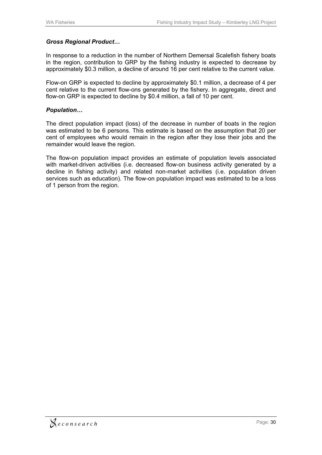#### *Gross Regional Product…*

In response to a reduction in the number of Northern Demersal Scalefish fishery boats in the region, contribution to GRP by the fishing industry is expected to decrease by approximately \$0.3 million, a decline of around 16 per cent relative to the current value.

Flow-on GRP is expected to decline by approximately \$0.1 million, a decrease of 4 per cent relative to the current flow-ons generated by the fishery. In aggregate, direct and flow-on GRP is expected to decline by \$0.4 million, a fall of 10 per cent.

#### *Population…*

The direct population impact (loss) of the decrease in number of boats in the region was estimated to be 6 persons. This estimate is based on the assumption that 20 per cent of employees who would remain in the region after they lose their jobs and the remainder would leave the region.

The flow-on population impact provides an estimate of population levels associated with market-driven activities (i.e. decreased flow-on business activity generated by a decline in fishing activity) and related non-market activities (i.e. population driven services such as education). The flow-on population impact was estimated to be a loss of 1 person from the region.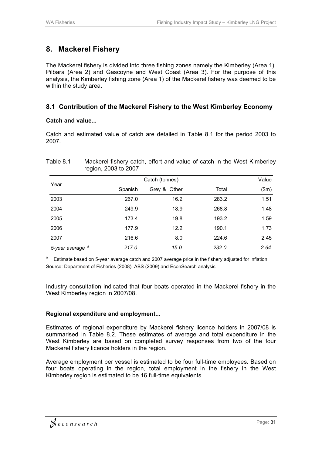# **8. Mackerel Fishery**

The Mackerel fishery is divided into three fishing zones namely the Kimberley (Area 1), Pilbara (Area 2) and Gascoyne and West Coast (Area 3). For the purpose of this analysis, the Kimberley fishing zone (Area 1) of the Mackerel fishery was deemed to be within the study area.

#### **8.1 Contribution of the Mackerel Fishery to the West Kimberley Economy**

#### **Catch and value...**

Catch and estimated value of catch are detailed in Table 8.1 for the period 2003 to 2007.

| Table 8.1                   | region, 2003 to 2007 | Mackerel fishery catch, effort and value of catch in the West Kimberley |       |       |  |  |  |
|-----------------------------|----------------------|-------------------------------------------------------------------------|-------|-------|--|--|--|
|                             | Catch (tonnes)       |                                                                         |       |       |  |  |  |
| Year                        | Spanish              | Grey & Other                                                            | Total | (\$m) |  |  |  |
| 2003                        | 267.0                | 16.2                                                                    | 283.2 | 1.51  |  |  |  |
| 2004                        | 249.9                | 18.9                                                                    | 268.8 | 1.48  |  |  |  |
| 2005                        | 173.4                | 19.8                                                                    | 193.2 | 1.59  |  |  |  |
| 2006                        | 177.9                | 12.2                                                                    | 190.1 | 1.73  |  |  |  |
| 2007                        | 216.6                | 8.0                                                                     | 224.6 | 2.45  |  |  |  |
| 5-year average <sup>a</sup> | 217.0                | 15.0                                                                    | 232.0 | 2.64  |  |  |  |

Estimate based on 5-year average catch and 2007 average price in the fishery adjusted for inflation. Source: Department of Fisheries (2008), ABS (2009) and EconSearch analysis

Industry consultation indicated that four boats operated in the Mackerel fishery in the West Kimberley region in 2007/08.

#### **Regional expenditure and employment...**

Estimates of regional expenditure by Mackerel fishery licence holders in 2007/08 is summarised in Table 8.2. These estimates of average and total expenditure in the West Kimberley are based on completed survey responses from two of the four Mackerel fishery licence holders in the region.

Average employment per vessel is estimated to be four full-time employees. Based on four boats operating in the region, total employment in the fishery in the West Kimberley region is estimated to be 16 full-time equivalents.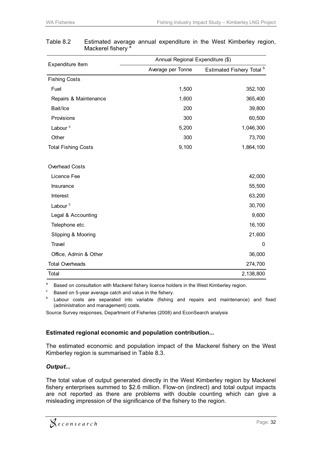|                            | Annual Regional Expenditure (\$) |                                      |  |  |  |  |
|----------------------------|----------------------------------|--------------------------------------|--|--|--|--|
| Expenditure Item           | Average per Tonne                | Estimated Fishery Total <sup>b</sup> |  |  |  |  |
| <b>Fishing Costs</b>       |                                  |                                      |  |  |  |  |
| Fuel                       | 1,500                            | 352,100                              |  |  |  |  |
| Repairs & Maintenance      | 1,600                            | 365,400                              |  |  |  |  |
| Bait/Ice                   | 200                              | 39,800                               |  |  |  |  |
| Provisions                 | 300                              | 60,500                               |  |  |  |  |
| Labour <sup>c</sup>        | 5,200                            | 1,046,300                            |  |  |  |  |
| Other                      | 300                              | 73,700                               |  |  |  |  |
| <b>Total Fishing Costs</b> | 9,100                            | 1,864,100                            |  |  |  |  |
| Overhead Costs             |                                  |                                      |  |  |  |  |
| Licence Fee                |                                  | 42,000                               |  |  |  |  |
| Insurance                  |                                  | 55,500                               |  |  |  |  |
| Interest                   |                                  | 63,200                               |  |  |  |  |
| Labour <sup>c</sup>        |                                  | 30,700                               |  |  |  |  |
| Legal & Accounting         |                                  | 9,600                                |  |  |  |  |
| Telephone etc.             |                                  | 16,100                               |  |  |  |  |
| Slipping & Mooring         |                                  | 21,600                               |  |  |  |  |
| Travel                     |                                  | $\mathbf{0}$                         |  |  |  |  |
| Office, Admin & Other      |                                  | 36,000                               |  |  |  |  |
| <b>Total Overheads</b>     |                                  | 274,700                              |  |  |  |  |
| Total                      |                                  | 2,138,800                            |  |  |  |  |

#### Table 8.2 Estimated average annual expenditure in the West Kimberley region, Mackerel fishery<sup>a</sup>

a Based on consultation with Mackerel fishery licence holders in the West Kimberley region.<br>C Based on 5-year average catch and value in the fishery.<br>b Labour, acety are accounted into unrights (fishing and applies and ma

 Labour costs are separated into variable (fishing and repairs and maintenance) and fixed (administration and management) costs.

Source Survey responses, Department of Fisheries (2008) and EconSearch analysis

#### **Estimated regional economic and population contribution...**

The estimated economic and population impact of the Mackerel fishery on the West Kimberley region is summarised in Table 8.3.

#### *Output...*

The total value of output generated directly in the West Kimberley region by Mackerel fishery enterprises summed to \$2.6 million. Flow-on (indirect) and total output impacts are not reported as there are problems with double counting which can give a misleading impression of the significance of the fishery to the region.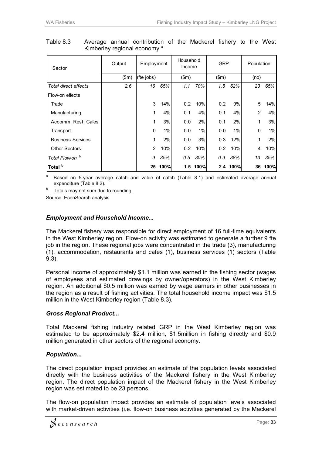| Sector                   | Output | Employment    |      | Household<br>Income |          | <b>GRP</b> |      | Population |       |
|--------------------------|--------|---------------|------|---------------------|----------|------------|------|------------|-------|
|                          | \$m\$  | (fte jobs)    |      | \$m\$               |          | \$m\$      |      | (no)       |       |
| Total direct effects     | 2.6    | 16            | 65%  | 1.1                 | 70%      | 1.5        | 62%  | 23         | 65%   |
| Flow-on effects          |        |               |      |                     |          |            |      |            |       |
| Trade                    |        | 3             | 14%  | 0.2                 | 10%      | 0.2        | 9%   | 5          | 14%   |
| Manufacturing            |        | 1             | 4%   | 0.1                 | 4%       | 0.1        | 4%   | 2          | 4%    |
| Accomm, Rest, Cafes      |        | 1             | 3%   | 0.0                 | 2%       | 0.1        | 2%   | 1          | 3%    |
| Transport                |        | 0             | 1%   | 0.0                 | 1%       | 0.0        | 1%   | 0          | $1\%$ |
| <b>Business Services</b> |        | 1             | 2%   | 0.0                 | 3%       | 0.3        | 12%  | 1          | 2%    |
| <b>Other Sectors</b>     |        | $\mathcal{P}$ | 10%  | 0.2                 | 10%      | 0.2        | 10%  | 4          | 10%   |
| Total Flow-on b          |        | 9             | 35%  | 0.5                 | 30%      | 0.9        | 38%  | 13         | 35%   |
| Total <sup>b</sup>       |        | 25            | 100% |                     | 1.5 100% | 2.4        | 100% | 36         | 100%  |

Table 8.3 Average annual contribution of the Mackerel fishery to the West Kimberley regional economy<sup>a</sup>

Based on 5-year average catch and value of catch (Table 8.1) and estimated average annual expenditure (Table 8.2).<br> $b$  Totals may not sum due to rounding.

Source: EconSearch analysis

#### *Employment and Household Income...*

The Mackerel fishery was responsible for direct employment of 16 full-time equivalents in the West Kimberley region. Flow-on activity was estimated to generate a further 9 fte job in the region. These regional jobs were concentrated in the trade (3), manufacturing (1), accommodation, restaurants and cafes (1), business services (1) sectors (Table 9.3).

Personal income of approximately \$1.1 million was earned in the fishing sector (wages of employees and estimated drawings by owner/operators) in the West Kimberley region. An additional \$0.5 million was earned by wage earners in other businesses in the region as a result of fishing activities. The total household income impact was \$1.5 million in the West Kimberley region (Table 8.3).

#### *Gross Regional Product...*

Total Mackerel fishing industry related GRP in the West Kimberley region was estimated to be approximately \$2.4 million, \$1.5million in fishing directly and \$0.9 million generated in other sectors of the regional economy.

#### *Population...*

The direct population impact provides an estimate of the population levels associated directly with the business activities of the Mackerel fishery in the West Kimberley region. The direct population impact of the Mackerel fishery in the West Kimberley region was estimated to be 23 persons.

The flow-on population impact provides an estimate of population levels associated with market-driven activities (i.e. flow-on business activities generated by the Mackerel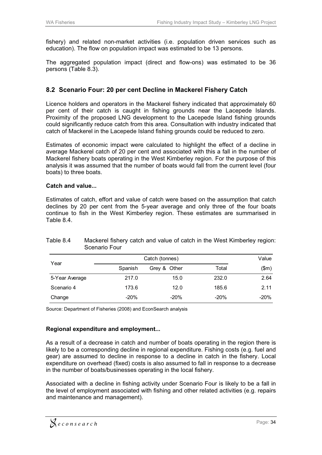fishery) and related non-market activities (i.e. population driven services such as education). The flow on population impact was estimated to be 13 persons.

The aggregated population impact (direct and flow-ons) was estimated to be 36 persons (Table 8.3).

#### **8.2 Scenario Four: 20 per cent Decline in Mackerel Fishery Catch**

Licence holders and operators in the Mackerel fishery indicated that approximately 60 per cent of their catch is caught in fishing grounds near the Lacepede Islands. Proximity of the proposed LNG development to the Lacepede Island fishing grounds could significantly reduce catch from this area. Consultation with industry indicated that catch of Mackerel in the Lacepede Island fishing grounds could be reduced to zero.

Estimates of economic impact were calculated to highlight the effect of a decline in average Mackerel catch of 20 per cent and associated with this a fall in the number of Mackerel fishery boats operating in the West Kimberley region. For the purpose of this analysis it was assumed that the number of boats would fall from the current level (four boats) to three boats.

#### **Catch and value...**

Estimates of catch, effort and value of catch were based on the assumption that catch declines by 20 per cent from the 5-year average and only three of the four boats continue to fish in the West Kimberley region. These estimates are summarised in Table 8.4.

|                |         | Value        |        |        |
|----------------|---------|--------------|--------|--------|
| Year           | Spanish | Grey & Other | Total  | \$m\$  |
| 5-Year Average | 217.0   | 15.0         | 232.0  | 2.64   |
| Scenario 4     | 173.6   | 12.0         | 185.6  | 2.11   |
| Change         | $-20%$  | $-20%$       | $-20%$ | $-20%$ |

Table 8.4 Mackerel fishery catch and value of catch in the West Kimberley region: Scenario Four

Source: Department of Fisheries (2008) and EconSearch analysis

#### **Regional expenditure and employment...**

As a result of a decrease in catch and number of boats operating in the region there is likely to be a corresponding decline in regional expenditure. Fishing costs (e.g. fuel and gear) are assumed to decline in response to a decline in catch in the fishery. Local expenditure on overhead (fixed) costs is also assumed to fall in response to a decrease in the number of boats/businesses operating in the local fishery.

Associated with a decline in fishing activity under Scenario Four is likely to be a fall in the level of employment associated with fishing and other related activities (e.g. repairs and maintenance and management).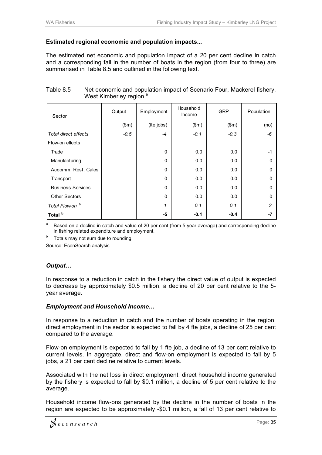#### **Estimated regional economic and population impacts...**

The estimated net economic and population impact of a 20 per cent decline in catch and a corresponding fall in the number of boats in the region (from four to three) are summarised in Table 8.5 and outlined in the following text.

| Sector                      | Output | Employment | Household<br><b>Income</b> | <b>GRP</b> | Population |
|-----------------------------|--------|------------|----------------------------|------------|------------|
|                             | \$m\$  | (fte jobs) | \$m\$                      | \$m\$      | (no)       |
| <b>Total direct effects</b> | $-0.5$ | $-4$       | $-0.1$                     | $-0.3$     | -6         |
| Flow-on effects             |        |            |                            |            |            |
| Trade                       |        | 0          | 0.0                        | 0.0        | $-1$       |
| Manufacturing               |        | 0          | 0.0                        | 0.0        | $\Omega$   |
| Accomm, Rest, Cafes         |        | 0          | 0.0                        | 0.0        | $\Omega$   |
| Transport                   |        | $\Omega$   | 0.0                        | 0.0        | $\Omega$   |
| <b>Business Services</b>    |        | 0          | 0.0                        | 0.0        | $\Omega$   |
| <b>Other Sectors</b>        |        | 0          | 0.0                        | 0.0        | $\Omega$   |
| Total Flow-on <sup>b</sup>  |        | $-1$       | $-0.1$                     | $-0.1$     | $-2$       |
| Total <sup>b</sup>          |        | -5         | $-0.1$                     | $-0.4$     | -7         |

| Table 8.5 | Net economic and population impact of Scenario Four, Mackerel fishery, |
|-----------|------------------------------------------------------------------------|
|           | West Kimberley region <sup>a</sup>                                     |

Based on a decline in catch and value of 20 per cent (from 5-year average) and corresponding decline in fishing related expenditure and employment.<br>b Totals may not sum due to rounding.

Source: EconSearch analysis

#### *Output…*

In response to a reduction in catch in the fishery the direct value of output is expected to decrease by approximately \$0.5 million, a decline of 20 per cent relative to the 5 year average.

#### *Employment and Household Income…*

In response to a reduction in catch and the number of boats operating in the region, direct employment in the sector is expected to fall by 4 fte jobs, a decline of 25 per cent compared to the average.

Flow-on employment is expected to fall by 1 fte job, a decline of 13 per cent relative to current levels. In aggregate, direct and flow-on employment is expected to fall by 5 jobs, a 21 per cent decline relative to current levels.

Associated with the net loss in direct employment, direct household income generated by the fishery is expected to fall by \$0.1 million, a decline of 5 per cent relative to the average.

Household income flow-ons generated by the decline in the number of boats in the region are expected to be approximately -\$0.1 million, a fall of 13 per cent relative to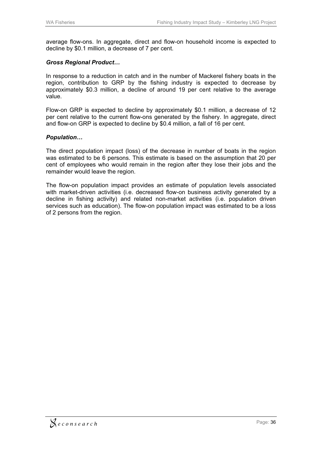average flow-ons. In aggregate, direct and flow-on household income is expected to decline by \$0.1 million, a decrease of 7 per cent.

#### *Gross Regional Product…*

In response to a reduction in catch and in the number of Mackerel fishery boats in the region, contribution to GRP by the fishing industry is expected to decrease by approximately \$0.3 million, a decline of around 19 per cent relative to the average value.

Flow-on GRP is expected to decline by approximately \$0.1 million, a decrease of 12 per cent relative to the current flow-ons generated by the fishery. In aggregate, direct and flow-on GRP is expected to decline by \$0.4 million, a fall of 16 per cent.

#### *Population…*

The direct population impact (loss) of the decrease in number of boats in the region was estimated to be 6 persons. This estimate is based on the assumption that 20 per cent of employees who would remain in the region after they lose their jobs and the remainder would leave the region.

The flow-on population impact provides an estimate of population levels associated with market-driven activities (i.e. decreased flow-on business activity generated by a decline in fishing activity) and related non-market activities (i.e. population driven services such as education). The flow-on population impact was estimated to be a loss of 2 persons from the region.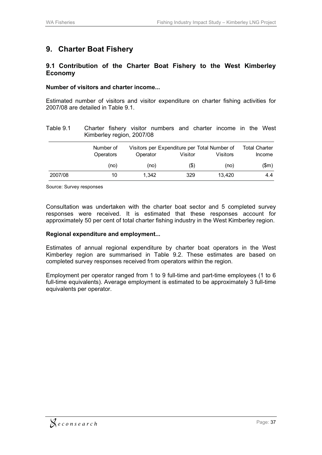# **9. Charter Boat Fishery**

#### **9.1 Contribution of the Charter Boat Fishery to the West Kimberley Economy**

#### **Number of visitors and charter income...**

Estimated number of visitors and visitor expenditure on charter fishing activities for 2007/08 are detailed in Table 9.1.

| Table 9.1 | Kimberley region, 2007/08     | Charter fishery visitor numbers and charter income in the West |         |                 |                                |
|-----------|-------------------------------|----------------------------------------------------------------|---------|-----------------|--------------------------------|
|           | Number of<br><b>Operators</b> | Visitors per Expenditure per Total Number of<br>Operator       | Visitor | <b>Visitors</b> | <b>Total Charter</b><br>Income |
|           | (no)                          | (no)                                                           | (\$)    | (no)            | (\$m)                          |
| 2007/08   | 10                            | 1.342                                                          | 329     | 13.420          | 4.4                            |

Source: Survey responses

Consultation was undertaken with the charter boat sector and 5 completed survey responses were received. It is estimated that these responses account for approximately 50 per cent of total charter fishing industry in the West Kimberley region.

#### **Regional expenditure and employment...**

Estimates of annual regional expenditure by charter boat operators in the West Kimberley region are summarised in Table 9.2. These estimates are based on completed survey responses received from operators within the region.

Employment per operator ranged from 1 to 9 full-time and part-time employees (1 to 6 full-time equivalents). Average employment is estimated to be approximately 3 full-time equivalents per operator.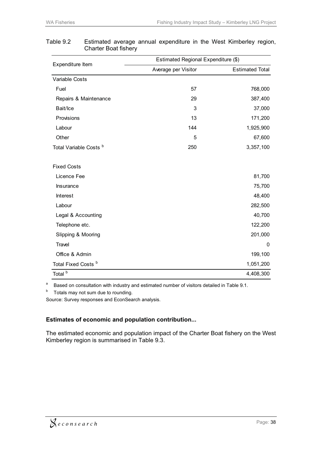|                                   | Estimated Regional Expenditure (\$) |                        |  |  |  |  |
|-----------------------------------|-------------------------------------|------------------------|--|--|--|--|
| Expenditure Item                  | Average per Visitor                 | <b>Estimated Total</b> |  |  |  |  |
| Variable Costs                    |                                     |                        |  |  |  |  |
| Fuel                              | 57                                  | 768,000                |  |  |  |  |
| Repairs & Maintenance             | 29                                  | 387,400                |  |  |  |  |
| Bait/Ice                          | 3                                   | 37,000                 |  |  |  |  |
| Provisions                        | 13                                  | 171,200                |  |  |  |  |
| Labour                            | 144                                 | 1,925,900              |  |  |  |  |
| Other                             | 5                                   | 67,600                 |  |  |  |  |
| Total Variable Costs <sup>b</sup> | 250                                 | 3,357,100              |  |  |  |  |
| <b>Fixed Costs</b>                |                                     |                        |  |  |  |  |
| Licence Fee                       |                                     | 81,700                 |  |  |  |  |
| Insurance                         |                                     | 75,700                 |  |  |  |  |
| Interest                          |                                     | 48,400                 |  |  |  |  |
| Labour                            |                                     | 282,500                |  |  |  |  |
| Legal & Accounting                |                                     | 40,700                 |  |  |  |  |
| Telephone etc.                    |                                     | 122,200                |  |  |  |  |
| Slipping & Mooring                |                                     | 201,000                |  |  |  |  |
| Travel                            |                                     | 0                      |  |  |  |  |
| Office & Admin                    |                                     | 199,100                |  |  |  |  |
| Total Fixed Costs <sup>b</sup>    |                                     | 1,051,200              |  |  |  |  |
| Total <sup>b</sup>                |                                     | 4,408,300              |  |  |  |  |

#### Table 9.2 Estimated average annual expenditure in the West Kimberley region, Charter Boat fishery

a Based on consultation with industry and estimated number of visitors detailed in Table 9.1.

 $b$  Totals may not sum due to rounding.

Source: Survey responses and EconSearch analysis.

#### **Estimates of economic and population contribution...**

The estimated economic and population impact of the Charter Boat fishery on the West Kimberley region is summarised in Table 9.3.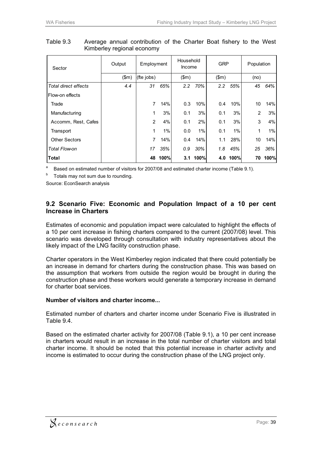| Sector               | Output | Employment     |      | Household<br>Income |          | <b>GRP</b> |             | Population     |       |
|----------------------|--------|----------------|------|---------------------|----------|------------|-------------|----------------|-------|
|                      | \$m\$  | (fte jobs)     |      | \$m\$               |          | \$m\$      |             | (no)           |       |
| Total direct effects | 4.4    | 31             | 65%  | 2.2                 | 70%      | 2.2        | 55%         | 45             | 64%   |
| Flow-on effects      |        |                |      |                     |          |            |             |                |       |
| Trade                |        | 7              | 14%  | 0.3                 | 10%      | 0.4        | 10%         | 10             | 14%   |
| Manufacturing        |        | 1              | 3%   | 0.1                 | 3%       | 0.1        | 3%          | $\overline{2}$ | 3%    |
| Accomm, Rest, Cafes  |        | $\overline{2}$ | 4%   | 0.1                 | 2%       | 0.1        | 3%          | 3              | 4%    |
| Transport            |        | 1              | 1%   | 0.0                 | $1\%$    | 0.1        | 1%          | 1              | $1\%$ |
| <b>Other Sectors</b> |        | 7              | 14%  | 0.4                 | 14%      | 1.1        | 28%         | 10             | 14%   |
| Total Flow-on        |        | 17             | 35%  | 0.9                 | 30%      | 1.8        | 45%         | 25             | 36%   |
| Total                |        | 48             | 100% |                     | 3.1 100% | 4.0        | <b>100%</b> | 70             | 100%  |

Table 9.3 Average annual contribution of the Charter Boat fishery to the West Kimberley regional economy

a Based on estimated number of visitors for 2007/08 and estimated charter income (Table 9.1).

 $b$  Totals may not sum due to rounding.

Source: EconSearch analysis

#### **9.2 Scenario Five: Economic and Population Impact of a 10 per cent Increase in Charters**

Estimates of economic and population impact were calculated to highlight the effects of a 10 per cent increase in fishing charters compared to the current (2007/08) level. This scenario was developed through consultation with industry representatives about the likely impact of the LNG facility construction phase.

Charter operators in the West Kimberley region indicated that there could potentially be an increase in demand for charters during the construction phase. This was based on the assumption that workers from outside the region would be brought in during the construction phase and these workers would generate a temporary increase in demand for charter boat services.

#### **Number of visitors and charter income...**

Estimated number of charters and charter income under Scenario Five is illustrated in Table 9.4.

Based on the estimated charter activity for 2007/08 (Table 9.1), a 10 per cent increase in charters would result in an increase in the total number of charter visitors and total charter income. It should be noted that this potential increase in charter activity and income is estimated to occur during the construction phase of the LNG project only.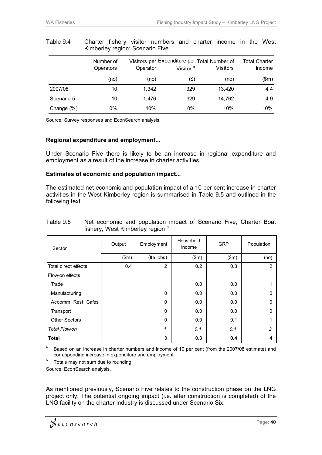|               | Number of<br>Operators | Operator | Visitors per Expenditure per Total Number of<br>Visitor <sup>a</sup> | <b>Visitors</b> | Total Charter<br>Income |
|---------------|------------------------|----------|----------------------------------------------------------------------|-----------------|-------------------------|
|               | (no)                   | (no)     | $($ \$)                                                              | (no)            | (\$m)                   |
| 2007/08       | 10                     | 1.342    | 329                                                                  | 13.420          | 4.4                     |
| Scenario 5    | 10                     | 1.476    | 329                                                                  | 14.762          | 4.9                     |
| Change $(\%)$ | $0\%$                  | 10%      | $0\%$                                                                | 10%             | 10%                     |

#### Table 9.4 Charter fishery visitor numbers and charter income in the West Kimberley region: Scenario Five

Source: Survey responses and EconSearch analysis.

#### **Regional expenditure and employment...**

Under Scenario Five there is likely to be an increase in regional expenditure and employment as a result of the increase in charter activities.

#### **Estimates of economic and population impact...**

The estimated net economic and population impact of a 10 per cent increase in charter activities in the West Kimberley region is summarised in Table 9.5 and outlined in the following text.

| Sector               | Output | Employment   | Household<br>Income | <b>GRP</b> | Population    |
|----------------------|--------|--------------|---------------------|------------|---------------|
|                      | \$m\$  | (fte jobs)   | \$m\$               | \$m\$      | (no)          |
| Total direct effects | 0.4    | 2            | 0.2                 | 0.3        | $\mathcal{P}$ |
| Flow-on effects      |        |              |                     |            |               |
| Trade                |        | 1            | 0.0                 | 0.0        |               |
| Manufacturing        |        | $\mathbf{0}$ | 0.0                 | 0.0        | $\Omega$      |
| Accomm, Rest, Cafes  |        | $\mathbf{0}$ | 0.0                 | 0.0        | $\Omega$      |
| Transport            |        | $\mathbf{0}$ | 0.0                 | 0.0        | 0             |
| <b>Other Sectors</b> |        | $\mathbf{0}$ | 0.0                 | 0.1        |               |
| Total Flow-on        |        | 1            | 0.1                 | 0.1        | $\mathcal{P}$ |
| Total                |        | 3            | 0.3                 | 0.4        |               |

#### Table 9.5 Net economic and population impact of Scenario Five, Charter Boat fishery, West Kimberley region<sup>a</sup>

<sup>a</sup> Based on an increase in charter numbers and income of 10 per cent (from the 2007/08 estimate) and corresponding increase in expenditure and employment.<br>Totals may not sum due to rounding.

Source: EconSearch analysis.

As mentioned previously, Scenario Five relates to the construction phase on the LNG project only. The potential ongoing impact (i.e. after construction is completed) of the LNG facility on the charter industry is discussed under Scenario Six.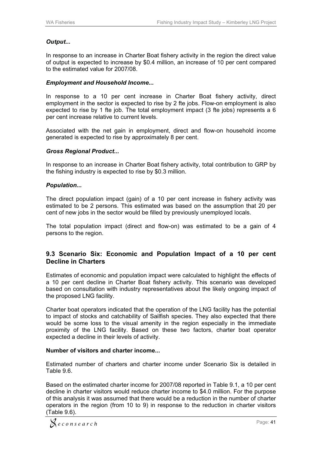#### *Output...*

In response to an increase in Charter Boat fishery activity in the region the direct value of output is expected to increase by \$0.4 million, an increase of 10 per cent compared to the estimated value for 2007/08.

#### *Employment and Household Income...*

In response to a 10 per cent increase in Charter Boat fishery activity, direct employment in the sector is expected to rise by 2 fte jobs. Flow-on employment is also expected to rise by 1 fte job. The total employment impact (3 fte jobs) represents a 6 per cent increase relative to current levels.

Associated with the net gain in employment, direct and flow-on household income generated is expected to rise by approximately 8 per cent.

#### *Gross Regional Product...*

In response to an increase in Charter Boat fishery activity, total contribution to GRP by the fishing industry is expected to rise by \$0.3 million.

#### *Population...*

The direct population impact (gain) of a 10 per cent increase in fishery activity was estimated to be 2 persons. This estimated was based on the assumption that 20 per cent of new jobs in the sector would be filled by previously unemployed locals.

The total population impact (direct and flow-on) was estimated to be a gain of 4 persons to the region.

#### **9.3 Scenario Six: Economic and Population Impact of a 10 per cent Decline in Charters**

Estimates of economic and population impact were calculated to highlight the effects of a 10 per cent decline in Charter Boat fishery activity. This scenario was developed based on consultation with industry representatives about the likely ongoing impact of the proposed LNG facility.

Charter boat operators indicated that the operation of the LNG facility has the potential to impact of stocks and catchability of Sailfish species. They also expected that there would be some loss to the visual amenity in the region especially in the immediate proximity of the LNG facility. Based on these two factors, charter boat operator expected a decline in their levels of activity.

#### **Number of visitors and charter income...**

Estimated number of charters and charter income under Scenario Six is detailed in Table 9.6.

Based on the estimated charter income for 2007/08 reported in Table 9.1, a 10 per cent decline in charter visitors would reduce charter income to \$4.0 million. For the purpose of this analysis it was assumed that there would be a reduction in the number of charter operators in the region (from 10 to 9) in response to the reduction in charter visitors (Table 9.6).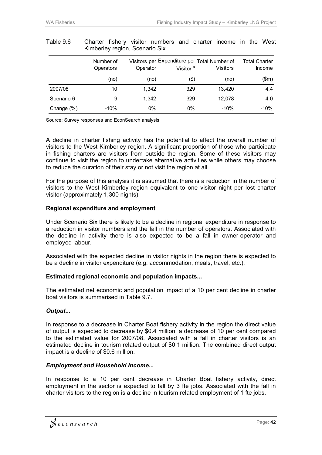|               | Number of<br>Operators | Operator | Visitors per Expenditure per Total Number of<br>Visitor <sup>a</sup> | <b>Visitors</b> | Total Charter<br>Income |
|---------------|------------------------|----------|----------------------------------------------------------------------|-----------------|-------------------------|
|               | (no)                   | (no)     | \$)                                                                  | (no)            | \$m\$                   |
| 2007/08       | 10                     | 1,342    | 329                                                                  | 13,420          | 4.4                     |
| Scenario 6    | 9                      | 1,342    | 329                                                                  | 12.078          | 4.0                     |
| Change $(\%)$ | $-10%$                 | $0\%$    | $0\%$                                                                | $-10%$          | $-10%$                  |

#### Table 9.6 Charter fishery visitor numbers and charter income in the West Kimberley region, Scenario Six

Source: Survey responses and EconSearch analysis

A decline in charter fishing activity has the potential to affect the overall number of visitors to the West Kimberley region. A significant proportion of those who participate in fishing charters are visitors from outside the region. Some of these visitors may continue to visit the region to undertake alternative activities while others may choose to reduce the duration of their stay or not visit the region at all.

For the purpose of this analysis it is assumed that there is a reduction in the number of visitors to the West Kimberley region equivalent to one visitor night per lost charter visitor (approximately 1,300 nights).

#### **Regional expenditure and employment**

Under Scenario Six there is likely to be a decline in regional expenditure in response to a reduction in visitor numbers and the fall in the number of operators. Associated with the decline in activity there is also expected to be a fall in owner-operator and employed labour.

Associated with the expected decline in visitor nights in the region there is expected to be a decline in visitor expenditure (e.g. accommodation, meals, travel, etc.).

#### **Estimated regional economic and population impacts...**

The estimated net economic and population impact of a 10 per cent decline in charter boat visitors is summarised in Table 9.7.

#### *Output...*

In response to a decrease in Charter Boat fishery activity in the region the direct value of output is expected to decrease by \$0.4 million, a decrease of 10 per cent compared to the estimated value for 2007/08. Associated with a fall in charter visitors is an estimated decline in tourism related output of \$0.1 million. The combined direct output impact is a decline of \$0.6 million.

#### *Employment and Household Income...*

In response to a 10 per cent decrease in Charter Boat fishery activity, direct employment in the sector is expected to fall by 3 fte jobs. Associated with the fall in charter visitors to the region is a decline in tourism related employment of 1 fte jobs.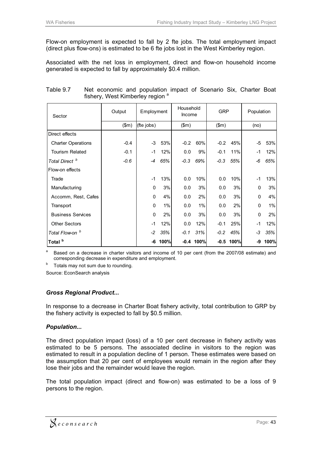Flow-on employment is expected to fall by 2 fte jobs. The total employment impact (direct plus flow-ons) is estimated to be 6 fte jobs lost in the West Kimberley region.

Associated with the net loss in employment, direct and flow-on household income generated is expected to fall by approximately \$0.4 million.

| Sector                     | Output | Employment |      | Household<br>Income |             | <b>GRP</b> |      | Population |      |
|----------------------------|--------|------------|------|---------------------|-------------|------------|------|------------|------|
|                            | \$m\$  | (fte jobs) |      | \$m\$               |             | \$m\$      |      | (no)       |      |
| Direct effects             |        |            |      |                     |             |            |      |            |      |
| <b>Charter Operations</b>  | $-0.4$ | -3         | 53%  | $-0.2$              | 60%         | $-0.2$     | 45%  | -5         | 53%  |
| <b>Tourism Related</b>     | $-0.1$ | -1         | 12%  | 0.0                 | 9%          | $-0.1$     | 11%  | -1         | 12%  |
| Total Direct <sup>b</sup>  | $-0.6$ | $-4$       | 65%  | $-0.3$              | 69%         | $-0.3$     | 55%  | -6         | 65%  |
| Flow-on effects            |        |            |      |                     |             |            |      |            |      |
| Trade                      |        | $-1$       | 13%  | 0.0                 | 10%         | 0.0        | 10%  | $-1$       | 13%  |
| Manufacturing              |        | 0          | 3%   | 0.0                 | 3%          | 0.0        | 3%   | $\Omega$   | 3%   |
| Accomm, Rest, Cafes        |        | 0          | 4%   | 0.0                 | 2%          | 0.0        | 3%   | $\Omega$   | 4%   |
| Transport                  |        | 0          | 1%   | 0.0                 | 1%          | 0.0        | 2%   | $\Omega$   | 1%   |
| <b>Business Services</b>   |        | 0          | 2%   | 0.0                 | 3%          | 0.0        | 3%   | 0          | 2%   |
| <b>Other Sectors</b>       |        | $-1$       | 12%  | 0.0                 | 12%         | $-0.1$     | 25%  | $-1$       | 12%  |
| Total Flow-on <sup>b</sup> |        | $-2$       | 35%  | $-0.1$              | 31%         | $-0.2$     | 45%  | -3         | 35%  |
| Total <sup>b</sup>         |        | -6         | 100% |                     | $-0.4$ 100% | $-0.5$     | 100% | -9         | 100% |

#### Table 9.7 Net economic and population impact of Scenario Six, Charter Boat fishery, West Kimberley region<sup>a</sup>

Based on a decrease in charter visitors and income of 10 per cent (from the 2007/08 estimate) and corresponding decrease in expenditure and employment.<br><sup>b</sup> Totals may not sum due to rounding.

Source: EconSearch analysis

#### *Gross Regional Product...*

In response to a decrease in Charter Boat fishery activity, total contribution to GRP by the fishery activity is expected to fall by \$0.5 million.

#### *Population...*

The direct population impact (loss) of a 10 per cent decrease in fishery activity was estimated to be 5 persons. The associated decline in visitors to the region was estimated to result in a population decline of 1 person. These estimates were based on the assumption that 20 per cent of employees would remain in the region after they lose their jobs and the remainder would leave the region.

The total population impact (direct and flow-on) was estimated to be a loss of 9 persons to the region.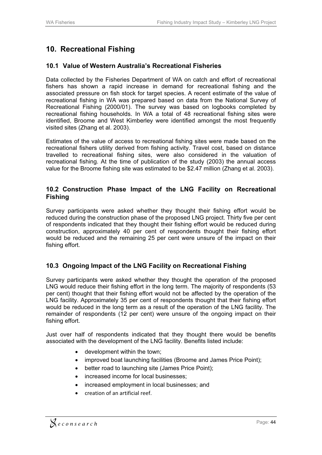# **10. Recreational Fishing**

#### **10.1 Value of Western Australia's Recreational Fisheries**

Data collected by the Fisheries Department of WA on catch and effort of recreational fishers has shown a rapid increase in demand for recreational fishing and the associated pressure on fish stock for target species. A recent estimate of the value of recreational fishing in WA was prepared based on data from the National Survey of Recreational Fishing (2000/01). The survey was based on logbooks completed by recreational fishing households. In WA a total of 48 recreational fishing sites were identified, Broome and West Kimberley were identified amongst the most frequently visited sites (Zhang et al. 2003).

Estimates of the value of access to recreational fishing sites were made based on the recreational fishers utility derived from fishing activity. Travel cost, based on distance travelled to recreational fishing sites, were also considered in the valuation of recreational fishing. At the time of publication of the study (2003) the annual access value for the Broome fishing site was estimated to be \$2.47 million (Zhang et al. 2003).

#### **10.2 Construction Phase Impact of the LNG Facility on Recreational Fishing**

Survey participants were asked whether they thought their fishing effort would be reduced during the construction phase of the proposed LNG project. Thirty five per cent of respondents indicated that they thought their fishing effort would be reduced during construction, approximately 40 per cent of respondents thought their fishing effort would be reduced and the remaining 25 per cent were unsure of the impact on their fishing effort.

#### **10.3 Ongoing Impact of the LNG Facility on Recreational Fishing**

Survey participants were asked whether they thought the operation of the proposed LNG would reduce their fishing effort in the long term. The majority of respondents (53 per cent) thought that their fishing effort would not be affected by the operation of the LNG facility. Approximately 35 per cent of respondents thought that their fishing effort would be reduced in the long term as a result of the operation of the LNG facility. The remainder of respondents (12 per cent) were unsure of the ongoing impact on their fishing effort.

Just over half of respondents indicated that they thought there would be benefits associated with the development of the LNG facility. Benefits listed include:

- $\bullet$ development within the town;
- $\bullet$ improved boat launching facilities (Broome and James Price Point);
- better road to launching site (James Price Point);
- increased income for local businesses;
- increased employment in local businesses; and
- creation of an artificial reef.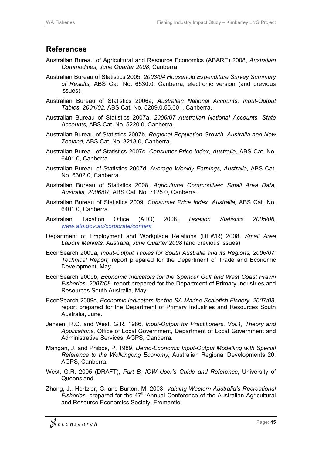## **References**

- Australian Bureau of Agricultural and Resource Economics (ABARE) 2008, *Australian Commodities, June Quarter 2008*, Canberra
- Australian Bureau of Statistics 2005, *2003/04 Household Expenditure Survey Summary of Results,* ABS Cat. No. 6530.0, Canberra, electronic version (and previous issues).
- Australian Bureau of Statistics 2006a, *Australian National Accounts: Input-Output Tables, 2001/02*, ABS Cat. No. 5209.0.55.001, Canberra.
- Australian Bureau of Statistics 2007a, *2006/07 Australian National Accounts, State Accounts*, ABS Cat. No. 5220.0, Canberra.
- Australian Bureau of Statistics 2007b, *Regional Population Growth, Australia and New Zealand*, ABS Cat. No. 3218.0, Canberra.
- Australian Bureau of Statistics 2007c, *Consumer Price Index, Australia,* ABS Cat. No. 6401.0, Canberra.
- Australian Bureau of Statistics 2007d, *Average Weekly Earnings, Australia,* ABS Cat. No. 6302.0, Canberra.
- Australian Bureau of Statistics 2008, *Agricultural Commodities: Small Area Data, Australia, 2006/07,* ABS Cat. No. 7125.0, Canberra.
- Australian Bureau of Statistics 2009, *Consumer Price Index, Australia,* ABS Cat. No. 6401.0, Canberra.
- Australian Taxation Office (ATO) 2008, *Taxation Statistics 2005/06, www.ato.gov.au/corporate/content*
- Department of Employment and Workplace Relations (DEWR) 2008, *Small Area Labour Markets, Australia, June Quarter 2008* (and previous issues).
- EconSearch 2009a, *Input-Output Tables for South Australia and its Regions, 2006/07: Technical Report,* report prepared for the Department of Trade and Economic Development, May.
- EconSearch 2009b, *Economic Indicators for the Spencer Gulf and West Coast Prawn Fisheries, 2007/08,* report prepared for the Department of Primary Industries and Resources South Australia, May.
- EconSearch 2009c, *Economic Indicators for the SA Marine Scalefish Fishery, 2007/08,*  report prepared for the Department of Primary Industries and Resources South Australia, June.
- Jensen, R.C. and West, G.R. 1986, *Input-Output for Practitioners, Vol.1, Theory and Applications*, Office of Local Government, Department of Local Government and Administrative Services, AGPS, Canberra.
- Mangan, J. and Phibbs, P. 1989, *Demo-Economic Input-Output Modelling with Special Reference to the Wollongong Economy,* Australian Regional Developments 20, AGPS, Canberra.
- West, G.R. 2005 (DRAFT), *Part B, IOW User's Guide and Reference*, University of Queensland.
- Zhang, J., Hertzler, G. and Burton, M. 2003, *Valuing Western Australia's Recreational Fisheries, prepared for the 47<sup>th</sup> Annual Conference of the Australian Agricultural* and Resource Economics Society, Fremantle.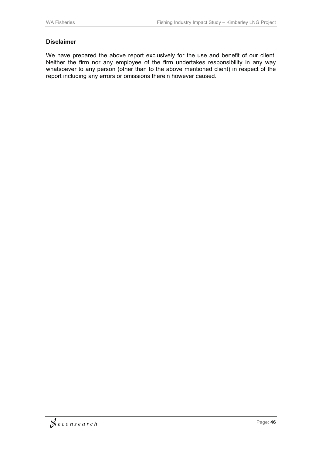#### **Disclaimer**

We have prepared the above report exclusively for the use and benefit of our client. Neither the firm nor any employee of the firm undertakes responsibility in any way whatsoever to any person (other than to the above mentioned client) in respect of the report including any errors or omissions therein however caused.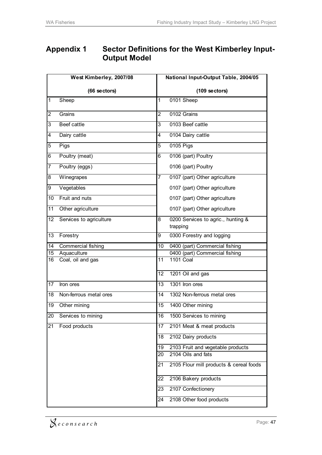# **Appendix 1 Sector Definitions for the West Kimberley Input-Output Model**

|                  | West Kimberley, 2007/08 |                | National Input-Output Table, 2004/05           |
|------------------|-------------------------|----------------|------------------------------------------------|
|                  | (66 sectors)            |                | $(109$ sectors)                                |
| 1                | Sheep                   | 1              | 0101 Sheep                                     |
| $\overline{2}$   | Grains                  | $\overline{2}$ | 0102 Grains                                    |
| 3                | <b>Beef cattle</b>      | 3              | 0103 Beef cattle                               |
| 4                | Dairy cattle            | 4              | 0104 Dairy cattle                              |
| 5                | Pigs                    | 5              | 0105 Pigs                                      |
| 6                | Poultry (meat)          | 6              | 0106 (part) Poultry                            |
| 7                | Poultry (eggs)          |                | 0106 (part) Poultry                            |
| 8                | Winegrapes              | $\overline{7}$ | 0107 (part) Other agriculture                  |
| $\boldsymbol{9}$ | Vegetables              |                | 0107 (part) Other agriculture                  |
| 10               | Fruit and nuts          |                | 0107 (part) Other agriculture                  |
| 11               | Other agriculture       |                | 0107 (part) Other agriculture                  |
| 12               | Services to agriculture | 8              | 0200 Services to agric., hunting &<br>trapping |
| 13               | Forestry                | 9              | 0300 Forestry and logging                      |
| 14               | Commercial fishing      | 10             | 0400 (part) Commercial fishing                 |
| $\overline{15}$  | Aquaculture             |                | 0400 (part) Commercial fishing                 |
| 16               | Coal, oil and gas       | 11             | <b>1101 Coal</b>                               |
|                  |                         | 12             | 1201 Oil and gas                               |
| 17               | Iron ores               | 13             | 1301 Iron ores                                 |
| 18               | Non-ferrous metal ores  | 14             | 1302 Non-ferrous metal ores                    |
| 19               | Other mining            | 15             | 1400 Other mining                              |
| $\overline{20}$  | Services to mining      | 16             | 1500 Services to mining                        |
| 21               | Food products           | 17             | 2101 Meat & meat products                      |
|                  |                         | 18             | 2102 Dairy products                            |
|                  |                         | 19             | 2103 Fruit and vegetable products              |
|                  |                         | 20             | 2104 Oils and fats                             |
|                  |                         | 21             | 2105 Flour mill products & cereal foods        |
|                  |                         | 22             | 2106 Bakery products                           |
|                  |                         | 23             | 2107 Confectionery                             |
|                  |                         | 24             | 2108 Other food products                       |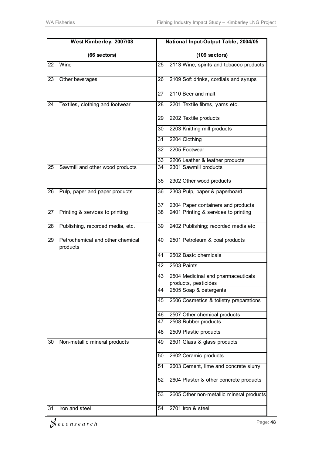|    | West Kimberley, 2007/08                      |                 | National Input-Output Table, 2004/05                       |
|----|----------------------------------------------|-----------------|------------------------------------------------------------|
|    | (66 sectors)                                 |                 | (109 sectors)                                              |
| 22 | Wine                                         | $\overline{25}$ | 2113 Wine, spirits and tobacco products                    |
| 23 | Other beverages                              | 26              | 2109 Soft drinks, cordials and syrups                      |
|    |                                              | 27              | 2110 Beer and malt                                         |
| 24 | Textiles, clothing and footwear              | 28              | 2201 Textile fibres, yarns etc.                            |
|    |                                              | 29              | 2202 Textile products                                      |
|    |                                              | 30              | 2203 Knitting mill products                                |
|    |                                              | 31              | 2204 Clothing                                              |
|    |                                              | 32              | 2205 Footwear                                              |
|    |                                              | 33              | 2206 Leather & leather products                            |
| 25 | Sawmill and other wood products              | 34              | 2301 Sawmill products                                      |
|    |                                              | 35              | 2302 Other wood products                                   |
| 26 | Pulp, paper and paper products               | 36              | 2303 Pulp, paper & paperboard                              |
|    |                                              | 37              | 2304 Paper containers and products                         |
| 27 | Printing & services to printing              | 38              | 2401 Printing & services to printing                       |
| 28 | Publishing, recorded media, etc.             | 39              | 2402 Publishing; recorded media etc                        |
| 29 | Petrochemical and other chemical<br>products | 40              | 2501 Petroleum & coal products                             |
|    |                                              | 41              | 2502 Basic chemicals                                       |
|    |                                              | 42              | 2503 Paints                                                |
|    |                                              | 43              | 2504 Medicinal and pharmaceuticals<br>products, pesticides |
|    |                                              | 44              | 2505 Soap & detergents                                     |
|    |                                              | 45              | 2506 Cosmetics & toiletry preparations                     |
|    |                                              | 46              | 2507 Other chemical products                               |
|    |                                              | 47              | 2508 Rubber products                                       |
|    |                                              | 48              | 2509 Plastic products                                      |
| 30 | Non-metallic mineral products                | 49              | 2601 Glass & glass products                                |
|    |                                              | 50              | 2602 Ceramic products                                      |
|    |                                              | 51              | 2603 Cement, lime and concrete slurry                      |
|    |                                              | 52              | 2604 Plaster & other concrete products                     |
|    |                                              | 53              | 2605 Other non-metallic mineral products                   |
| 31 | Iron and steel                               | 54              | 2701 Iron & steel                                          |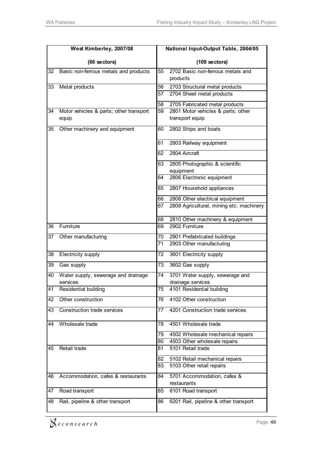|    | West Kimberley, 2007/08                 |    | National Input-Output Table, 2004/05          |  |  |
|----|-----------------------------------------|----|-----------------------------------------------|--|--|
|    | (66 sectors)                            |    | $(109$ sectors)                               |  |  |
| 32 | Basic non-ferrous metals and products   | 55 | 2702 Basic non-ferrous metals and<br>products |  |  |
| 33 | Metal products                          | 56 | 2703 Structural metal products                |  |  |
|    |                                         | 57 | 2704 Sheet metal products                     |  |  |
|    |                                         | 58 | 2705 Fabricated metal products                |  |  |
| 34 | Motor vehicles & parts; other transport | 59 | 2801 Motor vehicles & parts; other            |  |  |
|    | equip                                   |    | transport equip                               |  |  |
| 35 | Other machinery and equipment           | 60 | 2802 Ships and boats                          |  |  |
|    |                                         | 61 | 2803 Railway equipment                        |  |  |
|    |                                         | 62 | 2804 Aircraft                                 |  |  |
|    |                                         | 63 | 2805 Photographic & scientific                |  |  |
|    |                                         |    | equipment                                     |  |  |
|    |                                         | 64 | 2806 Electronic equipment                     |  |  |
|    |                                         | 65 | 2807 Household appliances                     |  |  |
|    |                                         | 66 | 2808 Other electrical equipment               |  |  |
|    |                                         | 67 | 2809 Agricultural, mining etc. machinery      |  |  |
|    |                                         | 68 | 2810 Other machinery & equipment              |  |  |
| 36 | Furniture                               | 69 | 2902 Furniture                                |  |  |
| 37 | Other manufacturing                     | 70 | 2901 Prefabricated buildings                  |  |  |
|    |                                         | 71 | 2903 Other manufacturing                      |  |  |
| 38 | Electricity supply                      | 72 | 3601 Electricity supply                       |  |  |
| 39 | Gas supply                              | 73 | 3602 Gas supply                               |  |  |
| 40 | Water supply, sewerage and drainage     | 74 | 3701 Water supply, sewerage and               |  |  |
| 41 | services                                | 75 | drainage services                             |  |  |
|    | Residential building                    |    | 4101 Residential building                     |  |  |
| 42 | Other construction                      | 76 | 4102 Other construction                       |  |  |
| 43 | <b>Construction trade services</b>      | 77 | 4201 Construction trade services              |  |  |
| 44 | Wholesale trade                         | 78 | 4501 Wholesale trade                          |  |  |
|    |                                         | 79 | 4502 Wholesale mechanical repairs             |  |  |
|    |                                         | 80 | 4503 Other wholesale repairs                  |  |  |
| 45 | Retail trade                            | 81 | 5101 Retail trade                             |  |  |
|    |                                         | 82 | 5102 Retail mechanical repairs                |  |  |
|    |                                         | 83 | 5103 Other retail repairs                     |  |  |
| 46 | Accommodation, cafes & restaurants      | 84 | 5701 Accommodation, cafes &<br>restaurants    |  |  |
| 47 | Road transport                          | 85 | 6101 Road transport                           |  |  |
| 48 | Rail, pipeline & other transport        | 86 | 6201 Rail, pipeline & other transport         |  |  |
|    |                                         |    |                                               |  |  |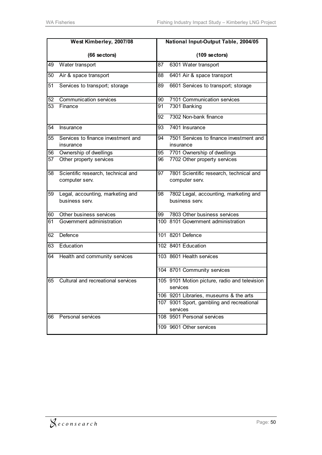|                       | West Kimberley, 2007/08            |    | National Input-Output Table, 2004/05          |
|-----------------------|------------------------------------|----|-----------------------------------------------|
|                       | (66 sectors)                       |    | (109 sectors)                                 |
| 49                    | Water transport                    | 87 | 6301 Water transport                          |
| 50                    | Air & space transport              | 88 | 6401 Air & space transport                    |
| 51                    | Services to transport; storage     | 89 | 6601 Services to transport; storage           |
| 52                    | <b>Communication services</b>      | 90 | 7101 Communication services                   |
| 53                    | Finance                            | 91 | 7301 Banking                                  |
|                       |                                    | 92 | 7302 Non-bank finance                         |
| 54                    | Insurance                          | 93 | 7401 Insurance                                |
| 55                    | Services to finance investment and | 94 | 7501 Services to finance investment and       |
|                       | insurance                          |    | insurance                                     |
| 56<br>$\overline{57}$ | Ownership of dwellings             | 95 | 7701 Ownership of dwellings                   |
|                       | Other property services            | 96 | 7702 Other property services                  |
| 58                    | Scientific research, technical and | 97 | 7801 Scientific research, technical and       |
|                       | computer serv.                     |    | computer serv.                                |
| 59                    | Legal, accounting, marketing and   | 98 | 7802 Legal, accounting, marketing and         |
|                       | business serv.                     |    | business serv.                                |
| 60                    | Other business services            | 99 | 7803 Other business services                  |
| 61                    | Government administration          |    | 100 8101 Government administration            |
| 62                    | Defence                            |    | 101 8201 Defence                              |
| 63                    | Education                          |    | 102 8401 Education                            |
| 64                    | Health and community services      |    | 103 8601 Health services                      |
|                       |                                    |    | 104 8701 Community services                   |
| 65                    | Cultural and recreational services |    | 105 9101 Motion picture, radio and television |
|                       |                                    |    | services                                      |
|                       |                                    |    | 106 9201 Libraries, museums & the arts        |
|                       |                                    |    | 107 9301 Sport, gambling and recreational     |
|                       |                                    |    | services                                      |
| 66                    | Personal services                  |    | 108 9501 Personal services                    |
|                       |                                    |    | 109 9601 Other services                       |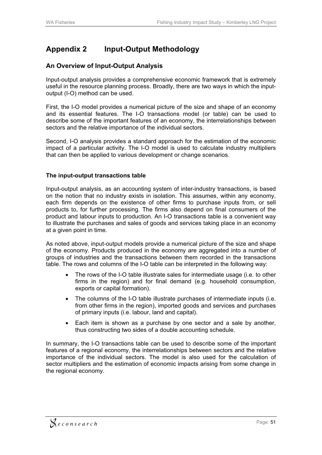# **Appendix 2 Input-Output Methodology**

#### **An Overview of Input-Output Analysis**

Input-output analysis provides a comprehensive economic framework that is extremely useful in the resource planning process. Broadly, there are two ways in which the inputoutput (I-O) method can be used.

First, the I-O model provides a numerical picture of the size and shape of an economy and its essential features. The I-O transactions model (or table) can be used to describe some of the important features of an economy, the interrelationships between sectors and the relative importance of the individual sectors.

Second, I-O analysis provides a standard approach for the estimation of the economic impact of a particular activity. The I-O model is used to calculate industry multipliers that can then be applied to various development or change scenarios.

#### **The input-output transactions table**

Input-output analysis, as an accounting system of inter-industry transactions, is based on the notion that no industry exists in isolation. This assumes, within any economy, each firm depends on the existence of other firms to purchase inputs from, or sell products to, for further processing. The firms also depend on final consumers of the product and labour inputs to production. An I-O transactions table is a convenient way to illustrate the purchases and sales of goods and services taking place in an economy at a given point in time.

As noted above, input-output models provide a numerical picture of the size and shape of the economy. Products produced in the economy are aggregated into a number of groups of industries and the transactions between them recorded in the transactions table. The rows and columns of the I-O table can be interpreted in the following way:

- $\bullet$  The rows of the I-O table illustrate sales for intermediate usage (i.e. to other firms in the region) and for final demand (e.g. household consumption, exports or capital formation).
- $\bullet$  The columns of the I-O table illustrate purchases of intermediate inputs (i.e. from other firms in the region), imported goods and services and purchases of primary inputs (i.e. labour, land and capital).
- Each item is shown as a purchase by one sector and a sale by another, thus constructing two sides of a double accounting schedule.

In summary, the I-O transactions table can be used to describe some of the important features of a regional economy, the interrelationships between sectors and the relative importance of the individual sectors. The model is also used for the calculation of sector multipliers and the estimation of economic impacts arising from some change in the regional economy.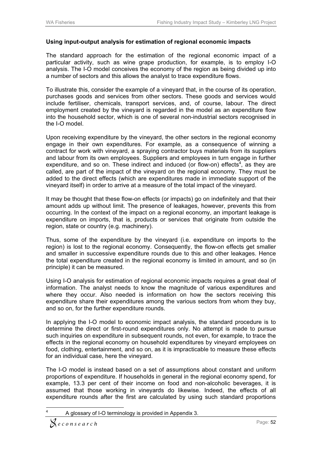#### **Using input-output analysis for estimation of regional economic impacts**

The standard approach for the estimation of the regional economic impact of a particular activity, such as wine grape production, for example, is to employ I-O analysis. The I-O model conceives the economy of the region as being divided up into a number of sectors and this allows the analyst to trace expenditure flows.

To illustrate this, consider the example of a vineyard that, in the course of its operation, purchases goods and services from other sectors. These goods and services would include fertiliser, chemicals, transport services, and, of course, labour. The direct employment created by the vineyard is regarded in the model as an expenditure flow into the household sector, which is one of several non-industrial sectors recognised in the I-O model.

Upon receiving expenditure by the vineyard, the other sectors in the regional economy engage in their own expenditures. For example, as a consequence of winning a contract for work with vineyard, a spraying contractor buys materials from its suppliers and labour from its own employees. Suppliers and employees in turn engage in further expenditure, and so on. These indirect and induced (or flow-on) effects<sup>4</sup>, as they are called, are part of the impact of the vineyard on the regional economy. They must be added to the direct effects (which are expenditures made in immediate support of the vineyard itself) in order to arrive at a measure of the total impact of the vineyard.

It may be thought that these flow-on effects (or impacts) go on indefinitely and that their amount adds up without limit. The presence of leakages, however, prevents this from occurring. In the context of the impact on a regional economy, an important leakage is expenditure on imports, that is, products or services that originate from outside the region, state or country (e.g. machinery).

Thus, some of the expenditure by the vineyard (i.e. expenditure on imports to the region) is lost to the regional economy. Consequently, the flow-on effects get smaller and smaller in successive expenditure rounds due to this and other leakages. Hence the total expenditure created in the regional economy is limited in amount, and so (in principle) it can be measured.

Using I-O analysis for estimation of regional economic impacts requires a great deal of information. The analyst needs to know the magnitude of various expenditures and where they occur. Also needed is information on how the sectors receiving this expenditure share their expenditures among the various sectors from whom they buy, and so on, for the further expenditure rounds.

In applying the I-O model to economic impact analysis, the standard procedure is to determine the direct or first-round expenditures only. No attempt is made to pursue such inquiries on expenditure in subsequent rounds, not even, for example, to trace the effects in the regional economy on household expenditures by vineyard employees on food, clothing, entertainment, and so on, as it is impracticable to measure these effects for an individual case, here the vineyard.

The I-O model is instead based on a set of assumptions about constant and uniform proportions of expenditure. If households in general in the regional economy spend, for example, 13.3 per cent of their income on food and non-alcoholic beverages, it is assumed that those working in vineyards do likewise. Indeed, the effects of all expenditure rounds after the first are calculated by using such standard proportions

 $\overline{a}$ 4 A glossary of I-O terminology is provided in Appendix 3.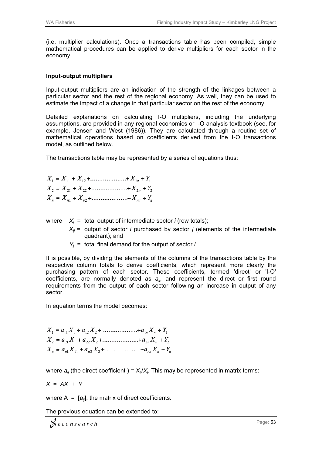(i.e. multiplier calculations). Once a transactions table has been compiled, simple mathematical procedures can be applied to derive multipliers for each sector in the economy.

#### **Input-output multipliers**

Input-output multipliers are an indication of the strength of the linkages between a particular sector and the rest of the regional economy. As well, they can be used to estimate the impact of a change in that particular sector on the rest of the economy.

Detailed explanations on calculating I-O multipliers, including the underlying assumptions, are provided in any regional economics or I-O analysis textbook (see, for example, Jensen and West (1986)). They are calculated through a routine set of mathematical operations based on coefficients derived from the I-O transactions model, as outlined below.

The transactions table may be represented by a series of equations thus:

| $X_1 = X_{11} + X_{12} + \dots + X_{1n} + Y_1$ |  |
|------------------------------------------------|--|
| $X_2 = X_{21} + X_{22} + \dots + X_{2n} + Y_2$ |  |
| $X_n = X_{n1} + X_{n2} + \dots + X_{nn} + Y_n$ |  |

where  $X_i$  = total output of intermediate sector *i* (row totals);

- $X_{ij}$  = output of sector *i* purchased by sector *j* (elements of the intermediate q quadrant); a nd
- $Y_j$  = total final demand for the output of sector *i*.

It is possible, by dividing the elements of the columns of the transactions table by the respective column totals to derive coefficients, which represent more clearly the purchasing pattern of each sector. These coefficients, termed 'direct' or 'I-O' coefficients, are normally denoted as  $a_{ij}$ , and represent the direct or first round requirements from the output of each sector following an increase in output of any sector.

In equation terms the model becomes:

| $X_1 = a_{11}X_1 + a_{12}X_2 + \dots + a_{1n}X_n + Y_1$    |
|------------------------------------------------------------|
| $X_2 = a_{21}X_1 + a_{22}X_2 + \dots + a_{2n}X_n + Y_2$    |
| $X_n = a_{n1}X_{11} + a_{n2}X_2 + \dots + a_{nn}X_n + Y_n$ |

where  $a_{ij}$  (the direct coefficient ) =  $X_{ij}/X_j$ . This may be represented in matrix terms:

$$
X = AX + Y
$$

where  $A = [a_{ij}]$ , the matrix of direct coefficients.

The previous equation can be extended to: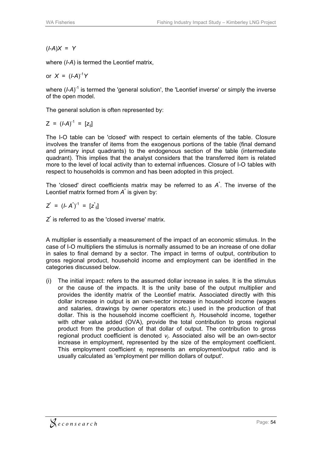(*I*-*A*)*X* = *Y*

where (*I*-*A*) is termed the Leontief matrix,

or 
$$
X = (I-A)^{-1}Y
$$

where (*I-A*)<sup>-1</sup> is termed the 'general solution', the 'Leontief inverse' or simply the inverse of the open model.

The general solution is often represented by:

$$
Z = (I-A)^{-1} = [z_{ij}]
$$

The I-O table can be 'closed' with respect to certain elements of the table. Closure involves the transfer of items from the exogenous portions of the table (final demand and primary input quadrants) to the endogenous section of the table (intermediate quadrant). This implies that the analyst considers that the transferred item is related more to the level of local activity than to external influences. Closure of I-O tables with respect to households is common and has been adopted in this project.

The 'closed' direct coefficients matrix may be referred to as *A*\* . The inverse of the Leontief matrix formed from *A*\* is given by:

$$
Z^* = (I - A^*)^{-1} = [z^*_{ij}]
$$

*Z*\* is referred to as the 'closed inverse' matrix.

A multiplier is essentially a measurement of the impact of an economic stimulus. In the case of I-O multipliers the stimulus is normally assumed to be an increase of one dollar in sales to final demand by a sector. The impact in terms of output, contribution to gross regional product, household income and employment can be identified in the categories discussed below.

(i) The initial impact: refers to the assumed dollar increase in sales. It is the stimulus or the cause of the impacts. It is the unity base of the output multiplier and provides the identity matrix of the Leontief matrix. Associated directly with this dollar increase in output is an own-sector increase in household income (wages and salaries, drawings by owner operators etc.) used in the production of that dollar. This is the household income coefficient *hj*. Household income, together with other value added (OVA), provide the total contribution to gross regional product from the production of that dollar of output. The contribution to gross regional product coefficient is denoted *vj*. Associated also will be an own-sector increase in employment, represented by the size of the employment coefficient. This employment coefficient *ej* represents an employment/output ratio and is usually calculated as 'employment per million dollars of output'.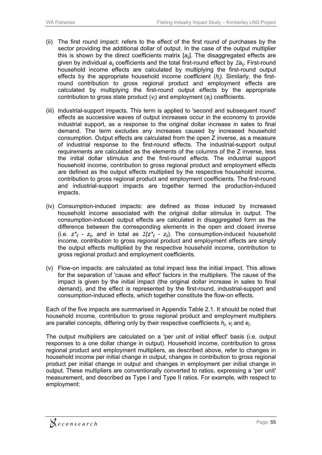- (ii) The first round impact: refers to the effect of the first round of purchases by the sector providing the additional dollar of output. In the case of the output multiplier this is shown by the direct coefficients matrix [*aij*]. The disaggregated effects are given by individual  $a_{ii}$  coefficients and the total first-round effect by  $\sum a_{ii}$ . First-round household income effects are calculated by multiplying the first-round output effects by the appropriate household income coefficient (*hj*). Similarly, the firstround contribution to gross regional product and employment effects are calculated by multiplying the first-round output effects by the appropriate contribution to gross state product (*vj*) and employment (*ej*) coefficients.
- (iii) Industrial-support impacts. This term is applied to 'second and subsequent round' effects as successive waves of output increases occur in the economy to provide industrial support, as a response to the original dollar increase in sales to final demand. The term excludes any increases caused by increased household consumption. Output effects are calculated from the open Z inverse, as a measure of industrial response to the first-round effects. The industrial-support output requirements are calculated as the elements of the columns of the Z inverse, less the initial dollar stimulus and the first-round effects. The industrial support household income, contribution to gross regional product and employment effects are defined as the output effects multiplied by the respective household income, contribution to gross regional product and employment coefficients. The first-round and industrial-support impacts are together termed the production-induced impacts.
- (iv) Consumption-induced impacts: are defined as those induced by increased household income associated with the original dollar stimulus in output. The consumption-induced output effects are calculated in disaggregated form as the difference between the corresponding elements in the open and closed inverse (i.e.  $z_{ij}^*$  -  $z_{ij}$ , and in total as  $\mathcal{Z}(z_{ij}^* - z_{ij})$ . The consumption-induced household income, contribution to gross regional product and employment effects are simply the output effects multiplied by the respective household income, contribution to gross regional product and employment coefficients.
- (v) Flow-on impacts: are calculated as total impact less the initial impact. This allows for the separation of 'cause and effect' factors in the multipliers. The cause of the impact is given by the initial impact (the original dollar increase in sales to final demand), and the effect is represented by the first-round, industrial-support and consumption-induced effects, which together constitute the flow-on effects.

Each of the five impacts are summarised in Appendix Table 2.1. It should be noted that household income, contribution to gross regional product and employment multipliers are parallel concepts, differing only by their respective coefficients *hj*, *vj* and *ej*.

The output multipliers are calculated on a 'per unit of initial effect' basis (i.e. output responses to a one dollar change in output). Household income, contribution to gross regional product and employment multipliers, as described above, refer to changes in household income per initial change in output, changes in contribution to gross regional product per initial change in output and changes in employment per initial change in output. These multipliers are conventionally converted to ratios, expressing a 'per unit' measurement, and described as Type I and Type II ratios. For example, with respect to employment: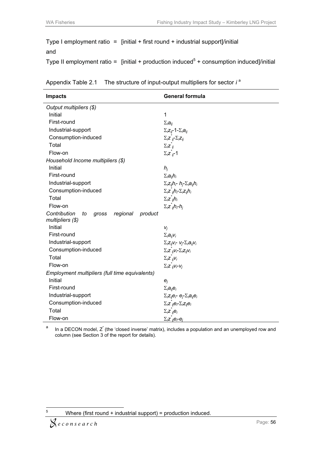Type I employment ratio =  $[initial + first round + industrial support] / initial$ and

Type II employment ratio = [initial + production induced<sup>5</sup> + consumption induced]/initial

| Appendix Table 2.1 | The structure of input-output multipliers for sector i <sup>a</sup> |
|--------------------|---------------------------------------------------------------------|
|--------------------|---------------------------------------------------------------------|

| <b>Impacts</b>                                                         | <b>General formula</b>                                                                             |
|------------------------------------------------------------------------|----------------------------------------------------------------------------------------------------|
| Output multipliers (\$)                                                |                                                                                                    |
| Initial                                                                | $\mathbf{1}$                                                                                       |
| First-round                                                            | $\Sigma_i a_{ii}$                                                                                  |
| Industrial-support                                                     | $\Sigma_i z_{ij}$ -1- $\Sigma_i a_{ij}$                                                            |
| Consumption-induced                                                    | $\Sigma_i$ z <sub>ii</sub> - $\Sigma_i$ z <sub>ii</sub>                                            |
| Total                                                                  | $\Sigma_i \overline{Z}_{ii}^*$                                                                     |
| Flow-on                                                                | $\Sigma_i \overline{z}_i - 1$                                                                      |
| Household Income multipliers (\$)                                      |                                                                                                    |
| Initial                                                                | $h_i$                                                                                              |
| First-round                                                            | $\Sigma_i a_{ij} h_i$                                                                              |
| Industrial-support                                                     | $\Sigma_i z_{ij} h_i$ - $h_i$ - $\Sigma_i a_{ij} h_i$                                              |
| Consumption-induced                                                    | $\Sigma_i z^i_{ij} h_i - \Sigma_i z_{ij} h_i$                                                      |
| Total                                                                  | $\Sigma_i \overline{z}^i_{ii} h_i$                                                                 |
| Flow-on                                                                | $\Sigma_i \overline{z}^i_{ii}h_i-h_i$                                                              |
| Contribution<br>regional<br>gross<br>product<br>to<br>multipliers (\$) |                                                                                                    |
| Initial                                                                | $V_i$                                                                                              |
| First-round                                                            | $\Sigma_i a_{ii} v_i$                                                                              |
| Industrial-support                                                     | $\Sigma_i Z_{ij} V_i$ - $V_i$ - $\Sigma_i a_{ij} V_i$                                              |
| Consumption-induced                                                    | $\Sigma_i Z_{ii} V_i - \Sigma_i Z_{ii} V_i$                                                        |
| Total                                                                  | $\Sigma_i \overline{z}^i_{ii} V_i$                                                                 |
| Flow-on                                                                | $\Sigma_i Z_{ij} V_i V_j$                                                                          |
| Employment multipliers (full time equivalents)                         |                                                                                                    |
| Initial                                                                | $e_i$                                                                                              |
| First-round                                                            | $\Sigma_i a_{ij} e_i$                                                                              |
| Industrial-support                                                     | $\Sigma_i$ z <sub>ij</sub> e <sub>r</sub> e <sub>r</sub> $\Sigma_i$ a <sub>ij</sub> e <sub>i</sub> |
| Consumption-induced                                                    | $\Sigma_i z_{ij} e_i - \Sigma_i z_{ij} e_i$                                                        |
| Total                                                                  | $\Sigma_i \hat{z}_{ij} \hat{e}_i$                                                                  |
| Flow-on                                                                | $\Sigma_i \underline{z}_{ij} e_i - e_j$                                                            |

a In a DECON model, Z<sup>\*</sup> (the 'closed inverse' matrix), includes a population and an unemployed row and column (see Section 3 of the report for details).

 $\frac{1}{5}$ Where (first round + industrial support) = production induced.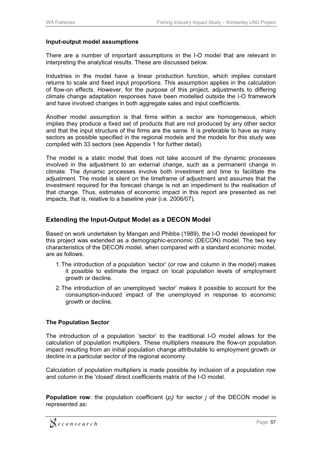#### **Input-output model assumptions**

There are a number of important assumptions in the I-O model that are relevant in interpreting the analytical results. These are discussed below.

Industries in the model have a linear production function, which implies constant returns to scale and fixed input proportions. This assumption applies in the calculation of flow-on effects. However, for the purpose of this project, adjustments to differing climate change adaptation responses have been modelled outside the I-O framework and have involved changes in both aggregate sales and input coefficients.

Another model assumption is that firms within a sector are homogeneous, which implies they produce a fixed set of products that are not produced by any other sector and that the input structure of the firms are the same. It is preferable to have as many sectors as possible specified in the regional models and the models for this study was compiled with 33 sectors (see Appendix 1 for further detail).

The model is a static model that does not take account of the dynamic processes involved in the adjustment to an external change, such as a permanent change in climate. The dynamic processes involve both investment and time to facilitate the adjustment. The model is silent on the timeframe of adjustment and assumes that the investment required for the forecast change is not an impediment to the realisation of that change. Thus, estimates of economic impact in this report are presented as net impacts, that is, relative to a baseline year (i.e. 2006/07).

#### **Extending the Input-Output Model as a DECON Model**

Based on work undertaken by Mangan and Phibbs (1989), the I-O model developed for this project was extended as a demographic-economic (DECON) model. The two key characteristics of the DECON model, when compared with a standard economic model, are as follows.

- 1. The introduction of a population 'sector' (or row and column in the model) makes it possible to estimate the impact on local population levels of employment growth or decline.
- 2. The introduction of an unemployed 'sector' makes it possible to account for the consumption-induced impact of the unemployed in response to economic growth or decline.

#### **The Population Sector**

The introduction of a population 'sector' to the traditional I-O model allows for the calculation of population multipliers. These multipliers measure the flow-on population impact resulting from an initial population change attributable to employment growth or decline in a particular sector of the regional economy.

Calculation of population multipliers is made possible by inclusion of a population row and column in the 'closed' direct coefficients matrix of the I-O model.

**Population row**: the population coefficient  $(p_j)$  for sector *j* of the DECON model is represented as: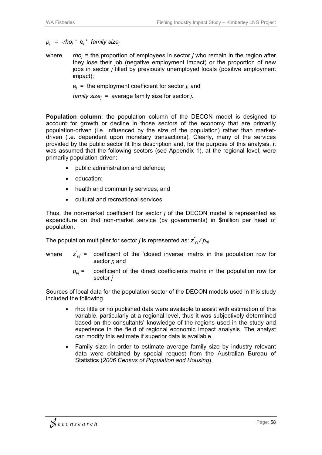$p_i$  =  $-rho_i$ <sup>\*</sup>  $e_i$ <sup>\*</sup> family size<sub>i</sub>

where *rhoj* = the proportion of employees in sector *j* who remain in the region after they lose their job (negative employment impact) or the proportion of new jobs in sector *j* filled by previously unemployed locals (positive employment impact);

e*j* = the employment coefficient for sector *j*; and

 *family sizej* = average family size for sector *j.* 

**Population column**: the population column of the DECON model is designed to account for growth or decline in those sectors of the economy that are primarily population-driven (i.e. influenced by the size of the population) rather than marketdriven (i.e. dependent upon monetary transactions). Clearly, many of the services provided by the public sector fit this description and, for the purpose of this analysis, it was assumed that the following sectors (see Appendix 1), at the regional level, were primarily population-driven:

- $\bullet$ public administration and defence;
- education;
- health and community services; and
- cultural and recreational services.

Thus, the non-market coefficient for sector *j* of the DECON model is represented as expenditure on that non-market service (by governments) in \$million per head of population.

The population multiplier for sector *j* is represented as:  $z^*_{\rho j}/p_{\rho j}$ 

- where *z\**  $p_{pi}^*$  = coefficient of the 'closed inverse' matrix in the population row for sector *j*; and
	- $p_{0i}$  = coefficient of the direct coefficients matrix in the population row for sector *j*

Sources of local data for the population sector of the DECON models used in this study included the following.

- rho: little or no published data were available to assist with estimation of this variable, particularly at a regional level, thus it was subjectively determined based on the consultants' knowledge of the regions used in the study and experience in the field of regional economic impact analysis. The analyst can modify this estimate if superior data is available.
- Family size: in order to estimate average family size by industry relevant data were obtained by special request from the Australian Bureau of Statistics (*2006 Census of Population and Housing*).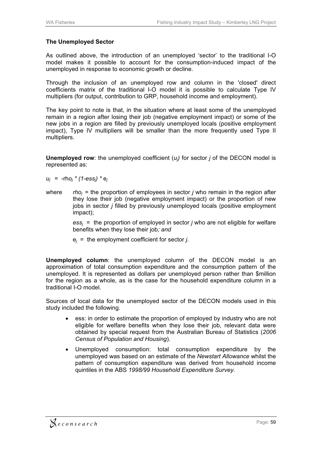#### **The Unemployed Sector**

As outlined above, the introduction of an unemployed 'sector' to the traditional I-O model makes it possible to account for the consumption-induced impact of the unemployed in response to economic growth or decline.

Through the inclusion of an unemployed row and column in the 'closed' direct coefficients matrix of the traditional I-O model it is possible to calculate Type IV multipliers (for output, contribution to GRP, household income and employment).

The key point to note is that, in the situation where at least some of the unemployed remain in a region after losing their job (negative employment impact) or some of the new jobs in a region are filled by previously unemployed locals (positive employment impact), Type IV multipliers will be smaller than the more frequently used Type II multipliers.

**Unemployed row**: the unemployed coefficient (*uj)* for sector *j* of the DECON model is represented as:

 $u_i$  =  $\text{-rho}_i * (1 - \text{ess}_i) * e_i$ 

where *rhoj* = the proportion of employees in sector *j* who remain in the region after they lose their job (negative employment impact) or the proportion of new jobs in sector *j* filled by previously unemployed locals (positive employment impact);

> *essj* = the proportion of employed in sector *j* who are not eligible for welfare benefits when they lose their job*; and*

e*j* = the employment coefficient for sector *j*.

**Unemployed column**: the unemployed column of the DECON model is an approximation of total consumption expenditure and the consumption pattern of the unemployed. It is represented as dollars per unemployed person rather than \$million for the region as a whole, as is the case for the household expenditure column in a traditional I-O model.

Sources of local data for the unemployed sector of the DECON models used in this study included the following.

- $\bullet$  ess: in order to estimate the proportion of employed by industry who are not eligible for welfare benefits when they lose their job, relevant data were obtained by special request from the Australian Bureau of Statistics (*2006 Census of Population and Housing*).
- $\bullet$  Unemployed consumption: total consumption expenditure by the unemployed was based on an estimate of the *Newstart Allowance* whilst the pattern of consumption expenditure was derived from household income quintiles in the ABS *1998/99 Household Expenditure Survey.*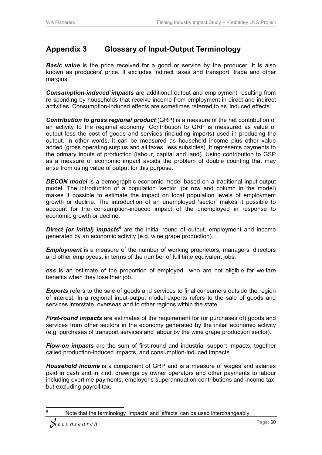# **Appendix 3 Glossary of Input-Output Terminology**

**Basic value** is the price received for a good or service by the producer. It is also known as producers' price. It excludes indirect taxes and transport, trade and other margins.

*Consumption-induced impacts* are additional output and employment resulting from re-spending by households that receive income from employment in direct and indirect activities. Consumption-induced effects are sometimes referred to as 'induced effects'.

*Contribution to gross regional product* (GRP) is a measure of the net contribution of an activity to the regional economy. Contribution to GRP is measured as value of output less the cost of goods and services (including imports) used in producing the output. In other words, it can be measured as household income plus other value added (gross operating surplus and all taxes, less subsidies). It represents payments to the primary inputs of production (labour, capital and land). Using contribution to GSP as a measure of economic impact avoids the problem of double counting that may arise from using value of output for this purpose.

*DECON model* is a demographic-economic model based on a traditional input-output model. The introduction of a population 'sector' (or row and column in the model) makes it possible to estimate the impact on local population levels of employment growth or decline. The introduction of an unemployed 'sector' makes it possible to account for the consumption-induced impact of the unemployed in response to economic growth or decline*.*

*Direct (or initial) impacts<sup>6</sup>* are the initial round of output*,* employment and income generated by an economic activity (e.g. wine grape production).

*Employment* is a measure of the number of working proprietors, managers, directors and other employees, in terms of the number of full time equivalent jobs.

*ess* is an estimate of the proportion of employed who are not eligible for welfare benefits when they lose their job.

**Exports** refers to the sale of goods and services to final consumers outside the region of interest. In a regional input-output model exports refers to the sale of goods and services interstate, overseas and to other regions within the state.

*First-round impacts* are estimates of the requirement for (or purchases of) goods and services from other sectors in the economy generated by the initial economic activity (e.g. purchases of transport services and labour by the wine grape production sector).

*Flow-on impacts* are the sum of first-round and industrial support impacts, together called production-induced impacts, and consumption-induced impacts.

*Household income* is a component of GRP and is a measure of wages and salaries paid in cash and in kind, drawings by owner operators and other payments to labour including overtime payments, employer's superannuation contributions and income tax, but excluding payroll tax.

 $\overline{a}$ 6 Note that the terminology 'impacts' and 'effects' can be used interchangeably.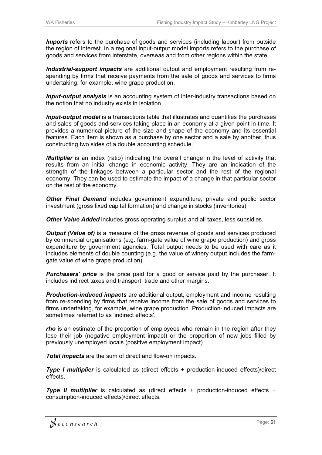*Imports* refers to the purchase of goods and services (including labour) from outside the region of interest. In a regional input-output model imports refers to the purchase of goods and services from interstate, overseas and from other regions within the state.

*Industrial-support impacts* are additional output and employment resulting from respending by firms that receive payments from the sale of goods and services to firms undertaking, for example, wine grape production.

*Input-output analysis* is an accounting system of inter-industry transactions based on the notion that no industry exists in isolation.

*Input-output model* is a transactions table that illustrates and quantifies the purchases and sales of goods and services taking place in an economy at a given point in time. It provides a numerical picture of the size and shape of the economy and its essential features. Each item is shown as a purchase by one sector and a sale by another, thus constructing two sides of a double accounting schedule.

*Multiplier* is an index (ratio) indicating the overall change in the level of activity that results from an initial change in economic activity. They are an indication of the strength of the linkages between a particular sector and the rest of the regional economy. They can be used to estimate the impact of a change in that particular sector on the rest of the economy.

*Other Final Demand* includes government expenditure, private and public sector investment (gross fixed capital formation) and change in stocks (inventories).

*Other Value Added* includes gross operating surplus and all taxes, less subsidies.

*Output (Value of)* is a measure of the gross revenue of goods and services produced by commercial organisations (e.g. farm-gate value of wine grape production) and gross expenditure by government agencies. Total output needs to be used with care as it includes elements of double counting (e.g. the value of winery output includes the farmgate value of wine grape production).

**Purchasers' price** is the price paid for a good or service paid by the purchaser. It includes indirect taxes and transport, trade and other margins.

*Production-induced impacts* are additional output, employment and income resulting from re-spending by firms that receive income from the sale of goods and services to firms undertaking, for example, wine grape production. Production-induced impacts are sometimes referred to as 'indirect effects'.

*rho* is an estimate of the proportion of employees who remain in the region after they lose their job (negative employment impact) or the proportion of new jobs filled by previously unemployed locals (positive employment impact).

*Total impacts* are the sum of direct and flow-on impacts.

*Type I multiplier* is calculated as (direct effects + production-induced effects)/direct effects.

*Type II multiplier* is calculated as (direct effects + production-induced effects + consumption-induced effects)/direct effects.